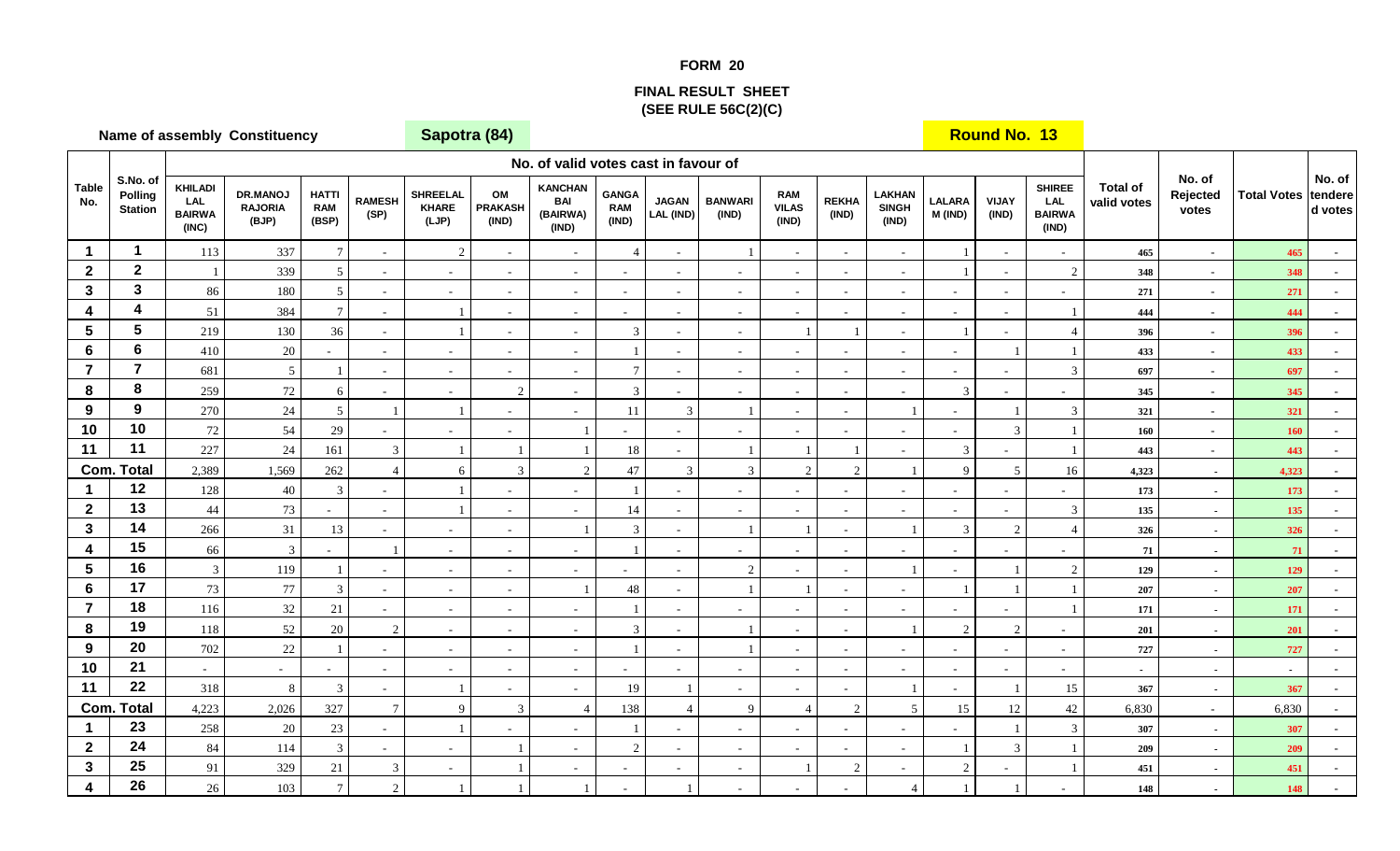## **FORM 20**

## **FINAL RESULT SHEET(SEE RULE 56C(2)(C)**

|                                        |                                       |                                                        | <b>Name of assembly Constituency</b> |                                     | Sapotra (84)                     |                                          |                               |                                            |                                     |                           |                          |                                     |                       |                                            | <b>Round No. 13</b>      |                                  |                                                       |                                |                             |                    |                              |
|----------------------------------------|---------------------------------------|--------------------------------------------------------|--------------------------------------|-------------------------------------|----------------------------------|------------------------------------------|-------------------------------|--------------------------------------------|-------------------------------------|---------------------------|--------------------------|-------------------------------------|-----------------------|--------------------------------------------|--------------------------|----------------------------------|-------------------------------------------------------|--------------------------------|-----------------------------|--------------------|------------------------------|
|                                        |                                       |                                                        |                                      |                                     |                                  |                                          |                               | No. of valid votes cast in favour of       |                                     |                           |                          |                                     |                       |                                            |                          |                                  |                                                       |                                |                             |                    |                              |
| <b>Table</b><br>No.                    | S.No. of<br>Polling<br><b>Station</b> | <b>KHILADI</b><br><b>LAL</b><br><b>BAIRWA</b><br>(INC) | DR.MANOJ<br><b>RAJORIA</b><br>(BJP)  | <b>HATTI</b><br><b>RAM</b><br>(BSP) | <b>RAMESH</b><br>(SP)            | <b>SHREELAL</b><br><b>KHARE</b><br>(LJP) | OM<br><b>PRAKASH</b><br>(IND) | <b>KANCHAN</b><br>BAI<br>(BAIRWA)<br>(IND) | <b>GANGA</b><br><b>RAM</b><br>(IND) | <b>JAGAN</b><br>LAL (IND) | <b>BANWARI</b><br>(IND)  | <b>RAM</b><br><b>VILAS</b><br>(IND) | <b>REKHA</b><br>(IND) | <b>LAKHAN</b><br><b>SINGH</b><br>(IND)     | <b>LALARA</b><br>M (IND) | <b>VIJAY</b><br>(IND)            | <b>SHIREE</b><br><b>LAL</b><br><b>BAIRWA</b><br>(IND) | <b>Total of</b><br>valid votes | No. of<br>Rejected<br>votes | <b>Total Votes</b> | No. of<br>tendere<br>d votes |
| $\mathbf 1$                            | $\mathbf{1}$                          | 113                                                    | 337                                  | $\overline{7}$                      | $\overline{\phantom{a}}$         | $\overline{2}$                           | $\sim$                        | $\sim$                                     | $\overline{4}$                      | $\overline{\phantom{a}}$  |                          | $\sim$                              | $\sim$                | $\overline{\phantom{a}}$                   |                          | $\sim$                           |                                                       | 465                            | $\sim$                      | 465                |                              |
| $\mathbf{2}$                           | $\mathbf{2}$                          |                                                        | 339                                  | 5                                   | $\overline{\phantom{a}}$         | $\sim$                                   | $\sim$                        | $\sim$                                     | $\sim$                              | $\sim$                    |                          | $\sim$                              | $\sim$                | $\sim$                                     |                          | $\sim$                           | 2                                                     | 348                            | $\sim$                      | 348                |                              |
| 3                                      | $\mathbf{3}$                          | 86                                                     | 180                                  | 5                                   | $\sim$                           | $\sim$                                   | $\sim$                        | $\sim$                                     | $\sim$                              | $\sim$                    | $\sim$                   | $\sim$                              | $\sim$                | $\sim$                                     | $\sim$                   | $\sim$                           | $\sim$                                                | 271                            | $\sim$                      | 271                | $\sim$                       |
| 4                                      | $\boldsymbol{4}$                      | 51                                                     | 384                                  | $\overline{7}$                      | $\blacksquare$                   |                                          | $\omega$                      | $\sim$                                     | $\sim$                              | $\sim$                    | $\overline{\phantom{a}}$ | $\sim$                              |                       | $\blacksquare$                             | $\sim$                   | $\blacksquare$                   |                                                       | 444                            | $\sim$                      | 444                |                              |
| 5                                      | $5\phantom{a}$                        | 219                                                    | 130                                  | 36                                  | $\blacksquare$                   |                                          | $\sim$                        | $\sim$                                     | $\mathbf{3}$                        | $\sim$                    | $\sim$                   |                                     |                       | $\sim$                                     |                          | $\overline{\phantom{a}}$         | $\overline{4}$                                        | 396                            | $\sim$                      | 396                |                              |
| 6                                      | $6\phantom{a}$                        | 410                                                    | $20\,$                               |                                     | $\sim$                           | $\sim$                                   | $\sim$                        | $\sim$                                     |                                     | $\sim$                    | $\sim$                   | $\sim$                              | $\sim$                | $\sim$                                     | $\sim$                   | $\overline{1}$                   |                                                       | 433                            | $\sim$                      | 433                |                              |
| $\overline{7}$                         | $\overline{7}$                        | 681                                                    | $\mathfrak{S}$                       |                                     | $\sim$                           | $\sim$                                   | $\omega$                      | $\sim$                                     | $\overline{7}$                      | $\sim$                    | $\sim$                   | $\sim$                              | $\sim$                | $\sim$                                     | $\sim$                   | $\sim$                           | 3                                                     | 697                            | $\sim$                      | 697                |                              |
| 8                                      | 8                                     | 259                                                    | $72\,$                               | 6                                   | $\blacksquare$                   | $\sim$                                   | $\sqrt{2}$                    | $\sim$                                     | $\mathfrak{Z}$                      | $\sim$                    | $\sim$                   | $\sim$                              | $\sim$                | $\blacksquare$                             | $\mathfrak{Z}$           | $\blacksquare$                   | $\blacksquare$                                        | 345                            | $\sim$                      | 345                | $\omega$                     |
| 9                                      | 9                                     | 270                                                    | $24\,$                               | $5\overline{)}$                     | $\overline{1}$                   |                                          | $\blacksquare$                | $\overline{\phantom{a}}$                   | 11                                  | $\mathfrak{Z}$            |                          | $\sim$                              |                       | $\overline{1}$                             | $\overline{\phantom{a}}$ |                                  | $\mathfrak{Z}$                                        | 321                            | $\sim$                      | 321                |                              |
| 10                                     | 10                                    | $72\,$                                                 | 54                                   | $29\,$                              | $\sim$                           | $\sim$                                   | $\sim$                        |                                            |                                     | $\sim$                    |                          | $\sim$                              | $\sim$                | $\blacksquare$                             | $\overline{\phantom{a}}$ | $\overline{3}$                   |                                                       | 160                            | $\sim$                      | 160                |                              |
| 11                                     | 11                                    | 227                                                    | $24\,$                               | 161                                 | $\mathfrak{Z}$                   |                                          | $\overline{1}$                |                                            | 18                                  | $\sim$                    |                          |                                     |                       | $\sim$                                     | $\mathfrak{Z}$           |                                  |                                                       | 443                            | $\sim$                      | 443                |                              |
| Com.                                   | <b>Total</b><br>12                    | 2,389                                                  | 1,569                                | 262                                 | $\overline{4}$                   | 6                                        | 3                             | 2                                          | 47                                  | $\mathfrak{Z}$            | $\overline{3}$           | $\overline{2}$                      | $\mathcal{L}$         |                                            | 9                        | 5                                | 16                                                    | 4,323                          | $\sim$                      | 4,323              |                              |
| $\blacktriangleleft$<br>$\overline{2}$ | 13                                    | 128<br>44                                              | 40                                   | 3                                   | $\blacksquare$                   |                                          | $\overline{\phantom{a}}$      | $\overline{\phantom{a}}$                   |                                     | $\sim$                    |                          | $\sim$                              |                       | $\blacksquare$                             | $\sim$                   | $\blacksquare$                   | $\sim$                                                | 173                            | $\blacksquare$              | 173                | $\sim$                       |
| $\mathbf{3}$                           | 14                                    | 266                                                    | 73<br>31                             | $\overline{\phantom{a}}$<br>13      | $\blacksquare$                   |                                          | $\sim$                        | $\omega$                                   | 14<br>3                             | $\overline{\phantom{a}}$  |                          | $\sim$                              |                       | $\overline{\phantom{a}}$<br>$\overline{1}$ | $\sim$<br>3              | $\blacksquare$<br>$\overline{2}$ | 3<br>$\overline{4}$                                   | 135                            | $\sim$                      | 135                |                              |
| $\overline{\mathbf{4}}$                | 15                                    | 66                                                     | $\overline{3}$                       |                                     | $\blacksquare$<br>$\overline{1}$ | $\sim$<br>$\sim$                         | $\sim$<br>$\sim$              | $\sim$                                     | -1                                  | $\sim$<br>$\sim$          |                          | $\sim$                              | $\sim$<br>$\sim$      | $\overline{\phantom{a}}$                   | $\sim$                   | $\sim$                           |                                                       | 326<br>71                      | $\sim$                      | 326<br>71          |                              |
| $5\phantom{.0}$                        | 16                                    | $\mathbf{3}$                                           | 119                                  |                                     | $\overline{\phantom{a}}$         | $\sim$                                   | $\sim$                        | $\overline{\phantom{a}}$                   | $\sim$                              | $\sim$                    | $\overline{2}$           | $\sim$                              | $\sim$                |                                            | $\blacksquare$           |                                  | 2                                                     | 129                            | $\sim$<br>$\sim$            | 129                |                              |
| 6                                      | 17                                    | $73\,$                                                 | $77\,$                               | 3                                   | $\blacksquare$                   | $\sim$                                   | $\sim$                        |                                            | $48\,$                              | $\overline{\phantom{a}}$  |                          |                                     | $\sim$                | $\blacksquare$                             | $\overline{1}$           |                                  |                                                       | 207                            | $\sim$                      | 207                | $\sim$                       |
| $\overline{7}$                         | 18                                    | 116                                                    | $32\,$                               | $21\,$                              | $\blacksquare$                   | $\sim$                                   | $\sim$                        | $\sim$                                     |                                     | $\sim$                    |                          | $\sim$                              |                       | $\omega$                                   | $\sim$                   | $\sim$                           |                                                       | 171                            | $\sim$                      | 171                | $\sim$                       |
| 8                                      | 19                                    | 118                                                    | $52\,$                               | $20\,$                              | $\overline{2}$                   | $\sim$                                   | $\sim$                        | $\sim$                                     | $\mathbf{3}$                        | $\sim$                    |                          | $\sim$                              | $\sim$                | $\overline{1}$                             | 2                        | $\overline{2}$                   | $\sim$                                                | 201                            | $\sim$                      | 201                |                              |
| 9                                      | 20                                    | 702                                                    | $22\,$                               |                                     | $\blacksquare$                   | $\sim$                                   | $\sim$                        | $\sim$                                     | 1                                   | $\sim$                    |                          | $\sim$                              | $\sim$                | $\sim$                                     | $\sim$                   | $\sim$                           | $\sim$                                                | 727                            | $\sim$                      | 727                |                              |
| 10                                     | 21                                    | $\omega$                                               | $\blacksquare$                       |                                     | $\sim$                           | $\sim$                                   | $\omega$                      | $\sim$                                     | $\sim$                              | $\sim$                    |                          | $\sim$                              | $\sim$                | $\sim$                                     | $\sim$                   | $\sim$                           | $\blacksquare$                                        | $\sim$                         | $\sim$                      | $\blacksquare$     |                              |
| 11                                     | 22                                    | 318                                                    | $\,8\,$                              | 3                                   | $\sim$                           |                                          | $\blacksquare$                | $\omega$                                   | 19                                  | $\overline{1}$            | $\sim$                   | $\sim$                              | $\sim$                | $\overline{1}$                             | $\sim$                   | $\overline{1}$                   | 15                                                    | 367                            | $\sim$                      | 367                | $\sim$                       |
| Com.                                   | <b>Total</b>                          | 4,223                                                  | 2,026                                | 327                                 | $\boldsymbol{7}$                 | $\mathbf{Q}$                             | $\mathbf{3}$                  | $\overline{4}$                             | 138                                 | $\overline{4}$            | 9                        | $\overline{4}$                      | $\overline{2}$        | $\mathfrak{S}$                             | 15                       | 12                               | $42\,$                                                | 6,830                          | $\sim$                      | 6,830              |                              |
| $\mathbf 1$                            | 23                                    | 258                                                    | 20                                   | $23\,$                              | $\blacksquare$                   |                                          | $\blacksquare$                | $\sim$                                     |                                     | $\sim$                    |                          | $\sim$                              | $\sim$                | $\overline{\phantom{a}}$                   |                          |                                  | 3                                                     | 307                            | $\sim$                      | 307                |                              |
| $\mathbf{2}$                           | 24                                    | 84                                                     | 114                                  | 3                                   | $\sim$                           | $\sim$                                   | $\overline{1}$                | $\overline{a}$                             | $\sqrt{2}$                          | $\sim$                    | $\sim$                   | $\sim$                              | $\sim$                | $\overline{\phantom{a}}$                   | $\overline{1}$           | 3                                |                                                       | 209                            | $\sim$                      | 209                |                              |
| 3                                      | 25                                    | 91                                                     | 329                                  | $21\,$                              | $\mathfrak{Z}$                   | $\sim$                                   | $\overline{1}$                | $\overline{\phantom{a}}$                   | $\overline{\phantom{0}}$            | $\sim$                    | $\overline{\phantom{0}}$ |                                     | $\overline{2}$        | $\blacksquare$                             | $\sqrt{2}$               |                                  |                                                       | 451                            | $\sim$                      | 451                |                              |
| 4                                      | 26                                    | $26\,$                                                 | 103                                  | $\tau$                              | $\sqrt{2}$                       |                                          | $\overline{1}$                |                                            |                                     |                           |                          |                                     |                       | $\overline{4}$                             | $\overline{1}$           |                                  |                                                       | 148                            | $\overline{a}$              | 148                |                              |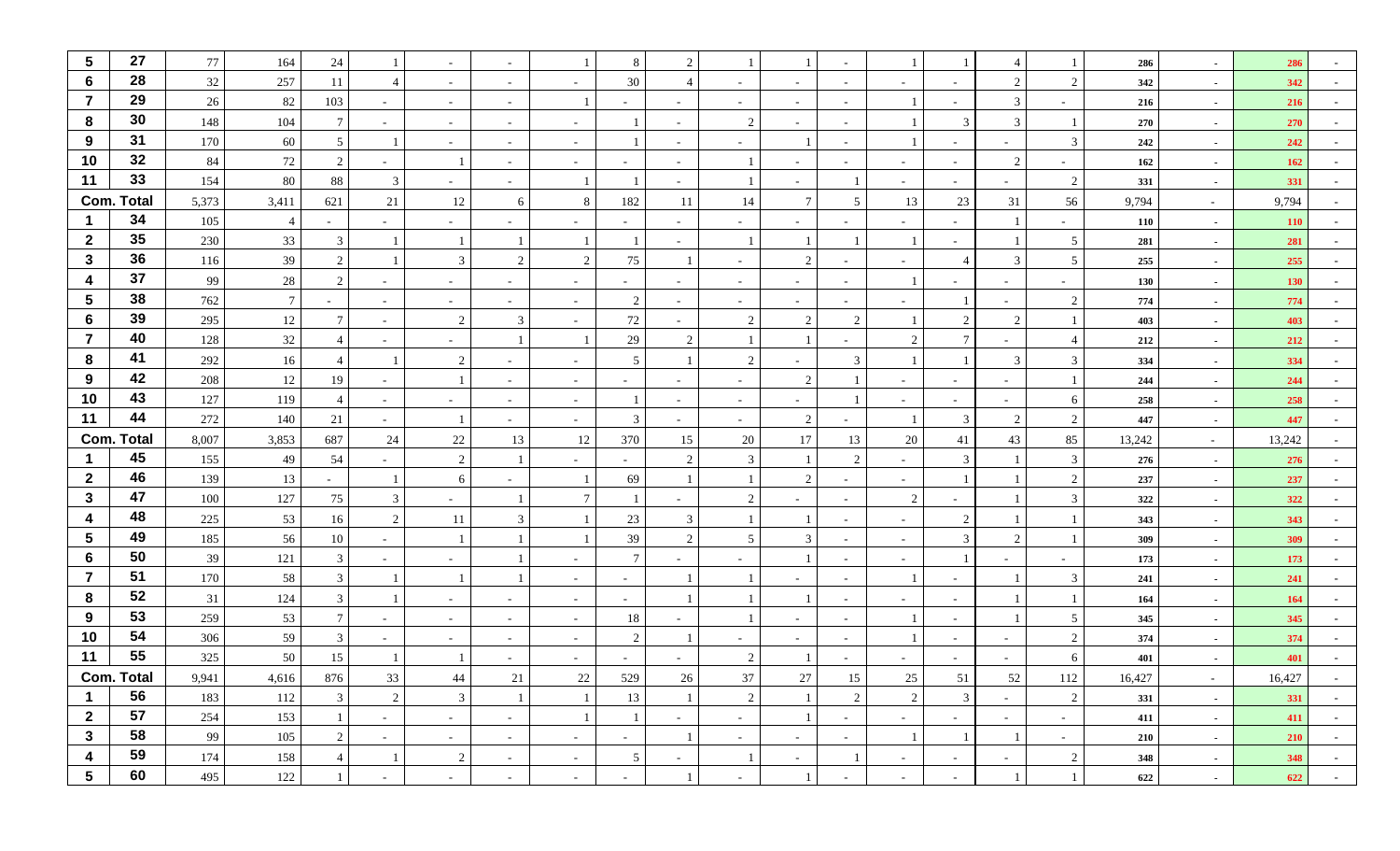| $\sqrt{5}$       | 27                      | 77         | 164             | 24              |                          | $\sim$         |                          |                          | 8                        | 2                        |                          |                 |                |                          |                |                             |                | 286        | $\sim$           | 286        |            |
|------------------|-------------------------|------------|-----------------|-----------------|--------------------------|----------------|--------------------------|--------------------------|--------------------------|--------------------------|--------------------------|-----------------|----------------|--------------------------|----------------|-----------------------------|----------------|------------|------------------|------------|------------|
| 6                | 28                      | 32         | 257             | 11              |                          | $\sim$         | $\overline{\phantom{a}}$ |                          | 30                       |                          |                          | $\sim$          |                | $\sim$                   |                | 2                           | $\overline{2}$ | 342        | $\sim$           | 342        |            |
| $\overline{7}$   | 29                      | 26         | 82              | 103             | $\sim$                   | $\sim$         | $\sim$                   |                          | $\overline{\phantom{0}}$ | $\sim$                   | $\overline{\phantom{a}}$ | $\sim$          | $\sim$         |                          | $\sim$         | 3                           |                | 216        | $\sim$           | 216        |            |
| 8                | 30                      | 148        | 104             |                 |                          | $\sim$         |                          |                          |                          |                          | 2                        | $\sim$          |                |                          | $\mathcal{R}$  | 3                           |                | 270        | $\sim$           | 270        |            |
| 9                | 31                      | 170        | 60              | $5\overline{)}$ |                          | $\sim$         | $\overline{\phantom{a}}$ |                          |                          |                          |                          |                 |                |                          |                | $\overline{\phantom{0}}$    | 3              | 242        | $\sim$           | 242        |            |
| 10               | 32                      | 84         | $72\,$          | 2               | $\overline{\phantom{a}}$ |                | $\sim$                   | $\overline{\phantom{a}}$ | $\sim$                   | $\sim$                   |                          | $\sim$          |                | $\sim$                   | $\sim$         | 2                           | $\sim$         | 162        | $\sim$           | 162        |            |
| 11               | 33                      | 154        | 80              | 88              | 3                        | $\sim$         | $\sim$                   |                          |                          |                          |                          | $\sim$          |                | $\sim$                   | $\overline{a}$ | $\sim$                      | 2              | 331        | $\sim$           | 331        |            |
|                  | <b>Com. Total</b>       | 5,373      | 3,411           | 621             | 21                       | 12             | 6                        | 8                        | 182                      | 11                       | 14                       | $7\phantom{.0}$ | $\sim$         | 13                       | 23             | 31                          | 56             | 9,794      | $\sim$           | 9,794      |            |
|                  | 34                      | 105        | $\overline{4}$  |                 | $\sim$                   | $\sim$         | $\overline{\phantom{a}}$ |                          |                          |                          |                          | $\sim$          |                | $\sim$                   |                |                             | $\sim$         | 110        | $\sim$           | <b>110</b> |            |
| $\mathbf{2}$     | 35                      | 230        | 33              | 3               |                          |                | $\overline{1}$           |                          |                          |                          |                          |                 |                | 1                        |                |                             | 5              | 281        | $\sim$           | 281        |            |
| $\mathbf{3}$     | 36                      | 116        | 39              | 2               |                          | 3              | $\overline{2}$           | 2                        | 75                       |                          | $\overline{\phantom{a}}$ | 2               | $\sim$         | $\sim$                   | $\overline{4}$ | $\mathfrak{Z}$              | 5              | 255        | $\sim$           | 255        |            |
| $\boldsymbol{4}$ | 37                      | 99         | 28              | 2               |                          | $\sim$         |                          |                          | $\sim$                   |                          |                          | $\sim$          |                |                          |                | $\sim$                      |                | 130        | $\sim$           | 130        |            |
| $\sqrt{5}$       | 38                      | 762        | $7\phantom{.0}$ | $\sim$          | $\overline{\phantom{a}}$ | $\sim$         | $\overline{\phantom{a}}$ | $\overline{\phantom{a}}$ | 2                        | $\sim$                   | $\sim$                   | $\sim$          | $\sim$         | $\overline{\phantom{a}}$ |                | $\sim$                      | 2              | 774        | $\sim$           | 774        |            |
| $6\phantom{1}$   | 39                      | 295        | $12\,$          | $7\overline{ }$ | $\sim$                   | 2              | $\mathfrak{Z}$           |                          | 72                       |                          | 2                        | 2               | $\overline{2}$ |                          | 2              | 2                           |                | 403        | $\sim$           | 403        |            |
| $\overline{7}$   | 40                      | 128        | 32              | $\overline{4}$  | $\sim$                   | $\sim$         |                          |                          | 29                       | $\overline{2}$           |                          |                 |                | $\overline{2}$           | $\tau$         | $\sim$                      | $\overline{4}$ | 212        | $\sim$           | 212        |            |
| 8                | 41                      | 292        | 16              |                 |                          | 2              |                          | $\overline{\phantom{a}}$ | 5                        |                          | 2                        | $\sim$          | 3              |                          |                | 3                           | 3              | 334        | $\sim$           | 334        |            |
| 9                | 42                      | 208        | 12              | 19              | $\overline{\phantom{a}}$ |                |                          | $\overline{\phantom{a}}$ | $\sim$                   |                          |                          | 2               |                | $\sim$                   | $\sim$         | $\sim$                      |                | 244        | $\sim$           | 244        |            |
| 10               | 43                      | 127        | 119             | 4               | $\sim$                   | $\sim$         |                          |                          |                          | $\sim$                   | $\sim$                   | $\sim$          |                | $\sim$                   | $\sim$         | $\sim$                      | 6              | 258        | $\sim$           | 258        |            |
| 11               | 44                      | 272        | 140             | 21              | $\sim$                   |                | $\sim$                   | $\sim$                   | 3                        | $\sim$                   | $\sim$                   | 2               | $\sim$         | $\mathbf{1}$             | 3              | 2                           | $\sqrt{2}$     | 447        | $\sim$           | 447        |            |
|                  | <b>Com. Total</b><br>45 | 8,007      | 3,853           | 687             | 24                       | 22             | 13                       | 12                       | 370                      | 15                       | 20                       | 17              | 13             | 20                       | 41             | 43                          | 85             | 13,242     | $\sim$           | 13,242     |            |
| $\overline{2}$   | 46                      | 155        | 49              | 54              |                          | 2              |                          |                          | $\sim$                   | $\overline{2}$           | 3                        |                 | $\overline{2}$ | $\overline{\phantom{a}}$ | 3              |                             | 3              | 276        | $\sim$           | 276        |            |
| $\mathbf{3}$     | 47                      | 139<br>100 | 13<br>127       | $\sim$<br>75    |                          | 6              |                          |                          | 69                       |                          | 2                        | 2<br>$\sim$     |                | $\sim$<br>$\sqrt{2}$     |                |                             | 2<br>3         | 237        | $\sim$           | 237        |            |
| 4                | 48                      | 225        | 53              | 16              | 2                        | $\sim$<br>11   | 3                        |                          | 23                       | 3                        |                          |                 | $\sim$         | $\sim$                   | 2              |                             |                | 322<br>343 | $\sim$           | 322<br>343 |            |
| $5\phantom{.0}$  | 49                      | 185        | 56              | 10              |                          |                |                          |                          | 39                       | $\overline{2}$           | 5                        | 3               |                | $\sim$                   | 3              | $\mathcal{D}_{\mathcal{L}}$ |                | 309        | $\sim$<br>$\sim$ | 309        |            |
| $6\phantom{1}$   | 50                      | 39         | 121             | $\mathbf{3}$    |                          | $\sim$         |                          |                          | $7\phantom{.0}$          |                          |                          |                 |                | $\sim$                   |                |                             |                | 173        | $\sim$           | 173        |            |
| $\overline{7}$   | 51                      | 170        | 58              | $\mathbf{3}$    |                          |                |                          | $\sim$                   | $\sim$                   |                          |                          | $\sim$          |                |                          | $\sim$         |                             | 3              | 241        | $\sim$           | 241        |            |
| 8                | 52                      | 31         | 124             | 3               |                          | $\sim$         |                          | $\overline{\phantom{a}}$ | $\sim$                   |                          |                          |                 |                | $\sim$                   |                |                             |                | 164        | $\sim$           | 164        |            |
| 9                | 53                      | 259        | 53              |                 |                          | $\sim$         | $\overline{\phantom{a}}$ | $\overline{\phantom{a}}$ | 18                       |                          |                          | $\sim$          |                |                          |                |                             | 5              | 345        | $\sim$           | 345        |            |
| 10               | 54                      | 306        | 59              | $\mathbf{3}$    |                          | $\sim$         |                          | $\overline{\phantom{a}}$ | 2                        |                          |                          |                 |                |                          |                | $\overline{\phantom{0}}$    | 2              | 374        | $\sim$           | 374        |            |
| 11               | 55                      | 325        | 50              | 15              |                          |                |                          |                          |                          |                          | $\overline{c}$           |                 |                |                          |                |                             | 6              | 401        | $\sim$           | 401        |            |
|                  | Com. Total              | 9,941      | 4,616           | 876             | 33                       | 44             | 21                       | 22                       | 529                      | 26                       | 37                       | 27              | 15             | 25                       | 51             | 52                          | 112            | 16,427     | $\sim$           | 16,427     | $\sim$     |
| $\mathbf 1$      | 56                      | 183        | 112             | $\mathbf{3}$    | 2                        | 3 <sup>1</sup> | $\mathbf{1}$             |                          | 13                       | $\mathbf{1}$             | 2                        |                 | 2              | $\overline{2}$           | $\mathfrak{Z}$ | $\sim$                      | 2              | 331        | $\sim$           | 331        | $\sim$ $-$ |
| $\mathbf{2}$     | 57                      | 254        | 153             |                 | $\sim$                   | $\sim$         | $\sim$                   |                          |                          | $\overline{\phantom{a}}$ | $\sim$                   |                 | $\sim$         | $\sim$                   | $\sim$         | $\sim$                      | $\sim$         | 411        | $\sim$           | 411        | $\sim$     |
| $\mathbf{3}$     | 58                      | 99         | 105             | $\overline{2}$  | $\sim$                   | $\sim$         | $\sim$                   | $\sim$                   | $\sim$                   | $\mathbf{1}$             | $\sim$                   | $\sim$ $-$      | $\sim$         | 1                        |                | 1                           | $\sim$         | 210        | $\sim$           | 210        | $\sim$     |
| 4                | 59                      | 174        | 158             | $\overline{4}$  |                          | 2              | $\sim$                   | $\sim$                   | $5\overline{)}$          | $\overline{\phantom{a}}$ | $\overline{1}$           | $\sim$          |                | $\sim$                   | $\sim$         | $\sim$                      | $\sqrt{2}$     | 348        | $\sim$           | 348        | $\sim$     |
| $5\phantom{.0}$  | 60                      | 495        | 122             |                 | $\sim$                   | $\sim$         | $\sim$                   | $\sim$                   | $\sim$                   | 1                        | $\sim$                   |                 | $\sim$         | $\sim$                   | $\sim$         |                             |                | 622        | $\sim$           | 622        | $\sim$     |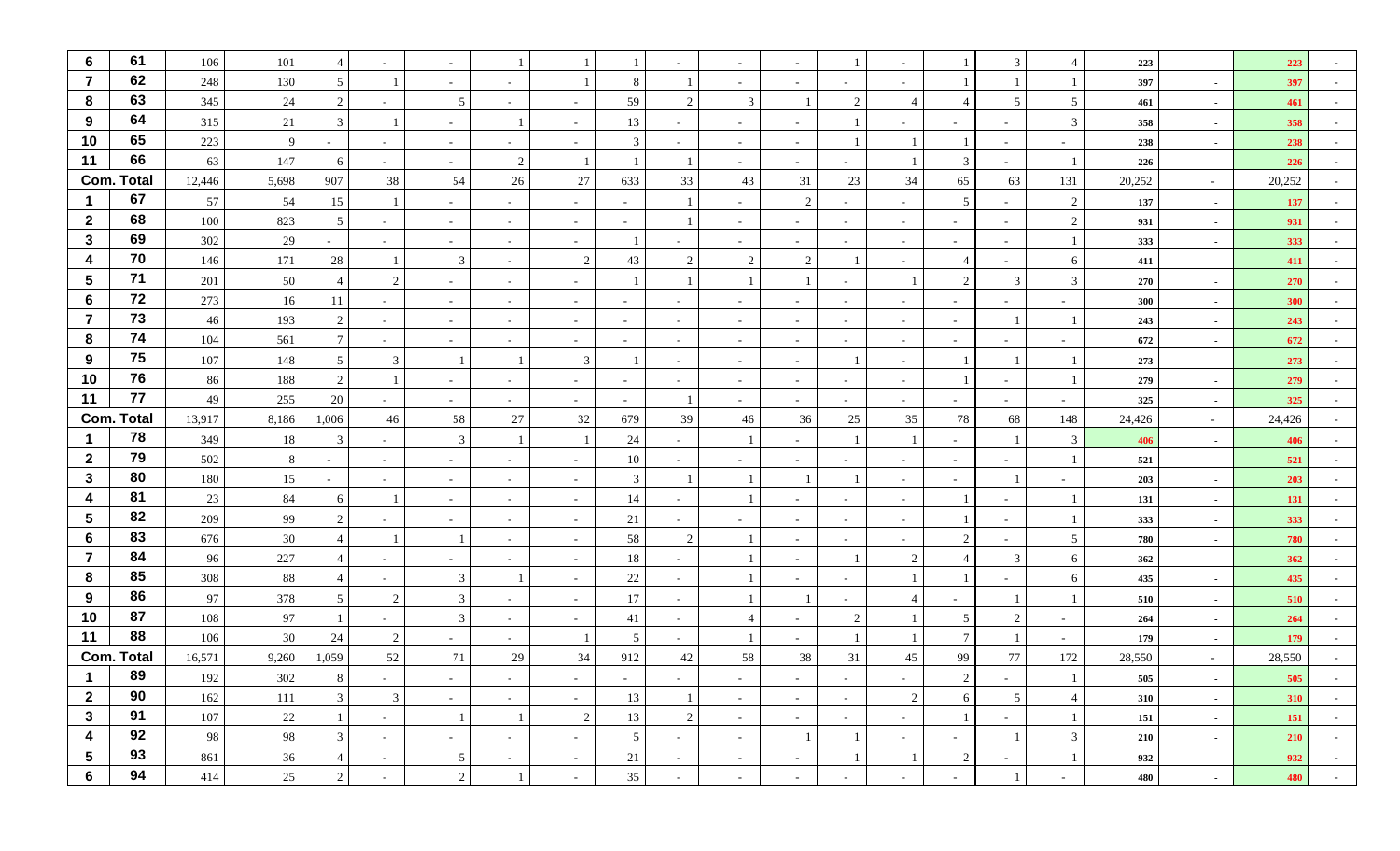| 6                       | 61                | 106    | 101    |                 |                          | $\sim$          |                          |                          |                          |                          |                          |        |                | $\sim$                   |                          | 3                             | $\overline{4}$  | 223    | $\sim$ | 223        |                          |
|-------------------------|-------------------|--------|--------|-----------------|--------------------------|-----------------|--------------------------|--------------------------|--------------------------|--------------------------|--------------------------|--------|----------------|--------------------------|--------------------------|-------------------------------|-----------------|--------|--------|------------|--------------------------|
| $\overline{7}$          | 62                | 248    | 130    | 5 <sup>5</sup>  |                          | $\sim$          | $\sim$                   |                          | 8                        |                          | $\sim$                   | $\sim$ |                | $\sim$                   |                          |                               |                 | 397    | $\sim$ | 397        |                          |
| 8                       | 63                | 345    | 24     | 2               |                          | 5               |                          |                          | 59                       | 2                        | 3                        |        | $\overline{2}$ |                          |                          | 5                             | 5               | 461    | $\sim$ | 461        |                          |
| 9                       | 64                | 315    | 21     | $\mathbf{3}$    |                          | $\sim$          |                          |                          | 13                       |                          |                          | $\sim$ |                | $\sim$                   |                          | $\sim$                        | 3               | 358    | $\sim$ | 358        |                          |
| 10                      | 65                | 223    | 9      |                 | $\overline{\phantom{a}}$ | $\sim$          |                          |                          | 3                        |                          |                          | $\sim$ |                |                          |                          | $\sim$                        |                 | 238    | $\sim$ | 238        |                          |
| 11                      | 66                | 63     | 147    | 6               | $\sim$                   | $\sim$          | 2                        |                          |                          |                          | $\overline{\phantom{a}}$ | $\sim$ | $\sim$         |                          | 3                        | $\sim$                        |                 | 226    | $\sim$ | 226        |                          |
|                         | <b>Com. Total</b> | 12,446 | 5,698  | 907             | 38                       | 54              | 26                       | 27                       | 633                      | 33                       | 43                       | 31     | 23             | 34                       | 65                       | 63                            | 131             | 20,252 | $\sim$ | 20,252     |                          |
|                         | 67                | 57     | 54     | 15              |                          | $\sim$          |                          |                          | $\sim$                   |                          |                          | 2      |                | $\overline{\phantom{a}}$ | 5                        | $\sim$                        | 2               | 137    | $\sim$ | 137        |                          |
| $\overline{2}$          | 68                | 100    | 823    | $5\overline{)}$ | $\overline{\phantom{a}}$ | $\sim$          |                          | $\overline{\phantom{a}}$ | $\sim$                   |                          |                          | $\sim$ |                | $\sim$                   | $\overline{\phantom{0}}$ | $\sim$                        | 2               | 931    | $\sim$ | 931        |                          |
| $\mathbf{3}$            | 69                | 302    | 29     | $\sim$          | $\overline{\phantom{a}}$ | $\sim$          | $\overline{\phantom{a}}$ |                          |                          |                          |                          | $\sim$ |                | $\sim$                   | $\sim$                   | $\sim$                        |                 | 333    | $\sim$ | 333        |                          |
| 4                       | 70                | 146    | 171    | 28              |                          | 3               | $\sim$                   | 2                        | 43                       | 2                        | 2                        | 2      |                | $\sim$                   | $\overline{4}$           | $\overline{a}$                | 6               | 411    | $\sim$ | 411        |                          |
| $5\phantom{.0}$         | 71                | 201    | 50     |                 | $\mathcal{D}$            | $\sim$          |                          |                          |                          |                          |                          |        |                |                          | $\overline{2}$           | 3                             | 3               | 270    | $\sim$ | 270        |                          |
| $6\phantom{1}$          | 72                | 273    | 16     | 11              | $\overline{\phantom{a}}$ | $\sim$          |                          |                          | $\sim$                   | ٠                        |                          | $\sim$ |                | $\sim$                   | $\overline{\phantom{a}}$ | $\overline{\phantom{0}}$      |                 | 300    | $\sim$ | 300        |                          |
| $\overline{7}$          | 73                | 46     | 193    | 2               | $\overline{\phantom{a}}$ | $\sim$          | $\overline{\phantom{a}}$ | $\overline{\phantom{a}}$ | $\sim$                   | $\overline{\phantom{a}}$ |                          | $\sim$ |                | $\sim$                   | $\sim$                   |                               |                 | 243    | $\sim$ | 243        |                          |
| 8                       | 74                | 104    | 561    | $\tau$          | $\overline{\phantom{a}}$ | $\sim$          |                          |                          | $\overline{\phantom{a}}$ |                          |                          | $\sim$ |                | $\sim$                   |                          | $\overline{\phantom{0}}$      |                 | 672    | $\sim$ | 672        |                          |
| 9                       | 75                | 107    | 148    | 5               | 3                        |                 |                          | 3                        |                          |                          |                          | $\sim$ |                | $\overline{\phantom{a}}$ |                          |                               |                 | 273    | $\sim$ | 273        |                          |
| 10                      | 76                | 86     | 188    | 2               |                          | $\sim$          |                          |                          | $\sim$                   |                          |                          | $\sim$ |                | $\sim$                   |                          | $\sim$                        |                 | 279    | $\sim$ | 279        |                          |
| 11                      | 77                | 49     | 255    | 20              | $\overline{\phantom{a}}$ | $\sim$          | $\overline{\phantom{a}}$ |                          | $\sim$                   |                          |                          | $\sim$ |                | $\sim$                   |                          | $\sim$                        |                 | 325    | $\sim$ | 325        |                          |
|                         | <b>Com. Total</b> | 13,917 | 8,186  | 1,006           | 46                       | 58              | 27                       | 32                       | 679                      | 39                       | 46                       | 36     | 25             | 35                       | 78                       | 68                            | 148             | 24,426 | $\sim$ | 24,426     |                          |
|                         | 78                | 349    | 18     | 3               | $\overline{\phantom{a}}$ | 3               |                          |                          | 24                       |                          |                          | $\sim$ |                |                          |                          |                               | $\mathfrak{Z}$  | 406    | $\sim$ | 406        |                          |
| $\overline{2}$          | 79                | 502    | 8      |                 | $\overline{\phantom{a}}$ | $\sim$          |                          | $\overline{\phantom{a}}$ | 10                       |                          |                          | $\sim$ |                | $\sim$                   | $\sim$                   | $\sim$                        |                 | 521    | $\sim$ | 521        |                          |
| $\mathbf{3}$            | 80                | 180    | $15\,$ | $\sim$          | $\overline{\phantom{a}}$ | $\sim$          |                          |                          | $\mathfrak{Z}$           |                          |                          |        |                | $\sim$                   | $\sim$                   |                               |                 | 203    | $\sim$ | 203        |                          |
| $\overline{4}$          | 81                | 23     | 84     | 6               |                          | $\sim$          | $\overline{\phantom{a}}$ | $\sim$                   | 14                       | $\sim$                   |                          | $\sim$ |                | $\sim$                   |                          | $\sim$                        |                 | 131    | $\sim$ | 131        |                          |
| $5\phantom{.0}$         | 82                | 209    | 99     | 2               |                          | $\sim$          | $\sim$                   | $\overline{\phantom{a}}$ | 21                       |                          |                          | $\sim$ | $\sim$         | $\sim$                   |                          | $\overline{a}$                |                 | 333    | $\sim$ | 333        |                          |
| $6\phantom{1}$          | 83                | 676    | 30     | $\overline{4}$  |                          |                 |                          |                          | 58                       | 2                        |                          | $\sim$ |                | $\overline{\phantom{a}}$ | $\overline{2}$           | $\sim$                        | $5\overline{)}$ | 780    | $\sim$ | 780        |                          |
| $\overline{7}$          | 84                | 96     | 227    |                 | $\overline{\phantom{a}}$ | $\sim$          |                          |                          | 18                       |                          |                          | $\sim$ |                | $\overline{2}$           | $\boldsymbol{\Delta}$    | 3                             | 6               | 362    | $\sim$ | 362        |                          |
| 8                       | 85                | 308    | 88     |                 | $\sim$                   | 3               |                          | $\overline{\phantom{a}}$ | 22                       | $\sim$                   |                          | $\sim$ |                |                          |                          | $\sim$                        | 6               | 435    | $\sim$ | 435        |                          |
| 9                       | 86                | 97     | 378    | 5               | $\overline{2}$           | 3               |                          |                          | 17                       |                          |                          |        |                |                          |                          |                               |                 | 510    | $\sim$ | 510        |                          |
| 10                      | 87                | 108    | 97     |                 |                          | 3               |                          |                          | 41                       | $\overline{\phantom{a}}$ |                          | $\sim$ | $\mathcal{D}$  |                          | 5                        | $\mathfrak{D}_{\mathfrak{p}}$ |                 | 264    | $\sim$ | 264        |                          |
| 11                      | 88                | 106    | 30     | 24              | $\overline{2}$           | $\sim$          |                          |                          | 5                        |                          |                          | $\sim$ |                |                          | $\tau$                   |                               |                 | 179    | $\sim$ | 179        |                          |
|                         | <b>Com. Total</b> | 16,571 | 9,260  | 1,059           | $52\,$                   | 71              | 29                       | 34                       | 912                      | 42                       | 58                       | 38     | 31             | 45                       | 99                       | 77                            | 172             | 28,550 | $\sim$ | 28,550     |                          |
| $\mathbf{I}$            | 89                | 192    | 302    | 8               | $\sim$                   | $\sim$          | $\sim$                   | $\sim$                   | $\sim$                   | $\sim$                   | $\sim$                   | $\sim$ | $\sim$         | $\sim$                   | 2                        | $\sim$                        |                 | 505    | $\sim$ | 505        | $\overline{\phantom{a}}$ |
| $\overline{2}$          | 90                | 162    | 111    | $\mathbf{3}$    | 3                        | $\sim$          | $\sim$                   | $\sim$                   | 13                       | $\mathbf{1}$             | $\sim$                   | $\sim$ | $\sim$         | $\overline{2}$           | 6                        | 5                             | $\overline{4}$  | 310    | $\sim$ | 310        | $\sim$                   |
| $\mathbf{3}$            | 91                | 107    | $22\,$ | -1              | $\sim$                   |                 |                          | 2                        | 13                       | 2                        | $\sim$                   | $\sim$ | $\sim$         | $\sim$                   |                          | $\sim$                        |                 | 151    | $\sim$ | <b>151</b> | $\sim$                   |
| $\overline{\mathbf{4}}$ | 92                | 98     | 98     | $\mathbf{3}$    | $\sim$                   | $\sim$          | $\sim$                   | $\sim$                   | $5\phantom{.0}$          | $\sim$                   | $\sim$                   |        |                | $\sim$                   | $\sim$                   |                               | 3               | 210    | $\sim$ | 210        | $\sim$                   |
| $\sqrt{5}$              | 93                | 861    | 36     | $\overline{4}$  | $\sim$                   | $5\overline{)}$ | $\sim$                   | $\sim$                   | 21                       | $\sim$                   | $\sim$                   | $\sim$ |                | 1                        | 2                        | $\sim$                        |                 | 932    | $\sim$ | 932        | $\sim$                   |
| $6\phantom{1}6$         | 94                | 414    | 25     | $\overline{2}$  | $\overline{\phantom{a}}$ | $\overline{2}$  |                          | $\sim$                   | 35                       | $\overline{\phantom{a}}$ | $\overline{\phantom{a}}$ | $\sim$ |                | $\sim$                   | $\sim$                   |                               | $\sim$          | 480    | $\sim$ | 480        | $\sim$                   |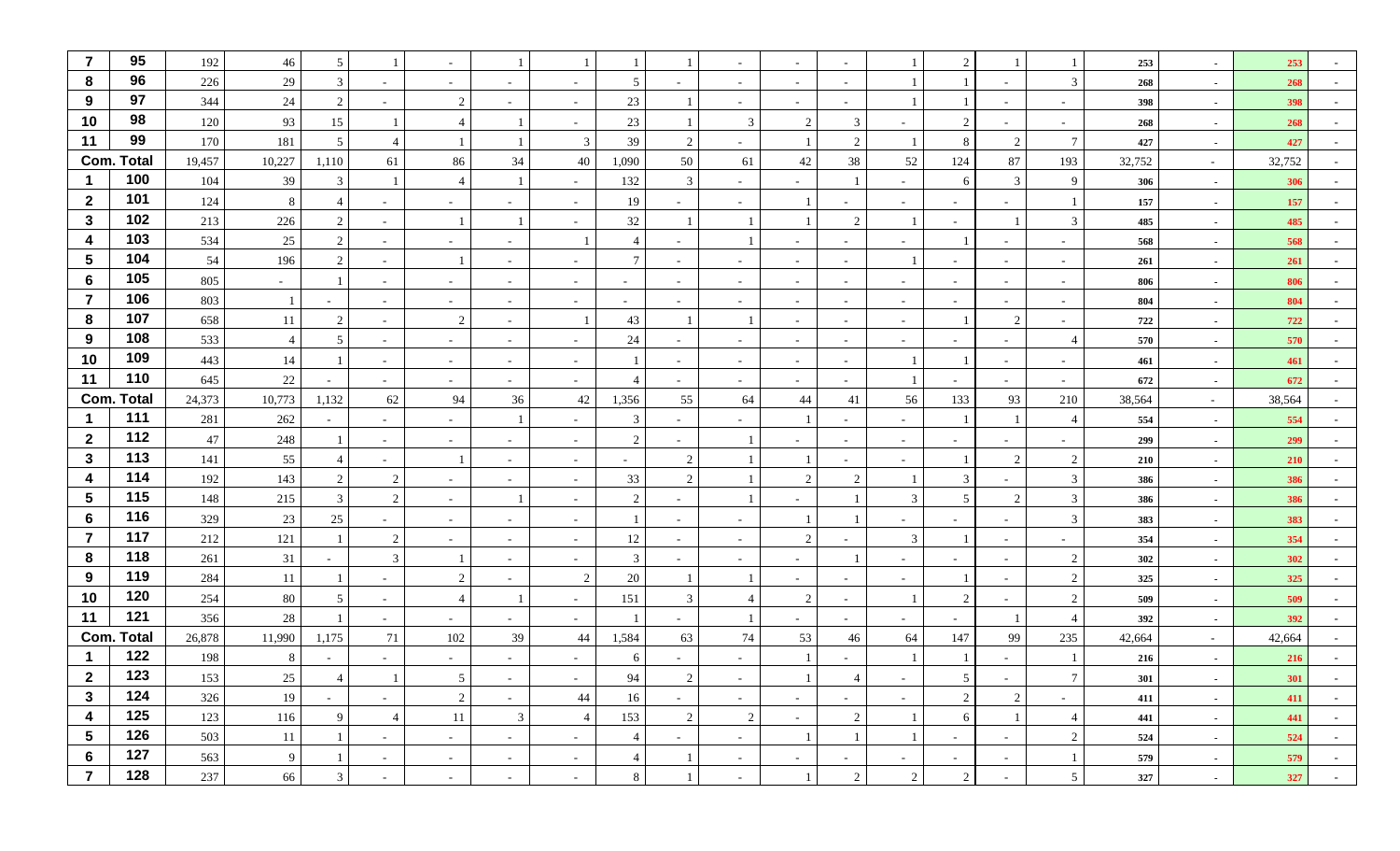| $\overline{7}$   | 95                | 192    | 46             | 5              |                          | $\sim$         |                          |                          |                          |                          |                          | $\sim$                   |                |                          | $\overline{c}$           |                          | -1                       | 253    | $\sim$ | 253    |            |
|------------------|-------------------|--------|----------------|----------------|--------------------------|----------------|--------------------------|--------------------------|--------------------------|--------------------------|--------------------------|--------------------------|----------------|--------------------------|--------------------------|--------------------------|--------------------------|--------|--------|--------|------------|
| 8                | 96                | 226    | $29\,$         | 3              |                          | $\sim$         | $\overline{\phantom{a}}$ |                          | 5                        |                          |                          | $\sim$                   |                |                          |                          |                          | 3                        | 268    | $\sim$ | 268    |            |
| 9                | 97                | 344    | 24             | 2              |                          | 2              | $\overline{\phantom{a}}$ | $\overline{\phantom{a}}$ | 23                       |                          | $\sim$                   | $\sim$                   |                |                          |                          | $\overline{\phantom{a}}$ | $\sim$                   | 398    | $\sim$ | 398    |            |
| 10               | 98                | 120    | 93             | 15             |                          | $\overline{4}$ |                          |                          | 23                       |                          | 3                        | 2                        |                |                          | $\overline{c}$           |                          | $\sim$                   | 268    | $\sim$ | 268    |            |
| 11               | 99                | 170    | 181            | 5              |                          |                |                          | 3                        | 39                       | 2                        |                          |                          |                |                          | 8                        | $\overline{2}$           | $\tau$                   | 427    | $\sim$ | 427    |            |
|                  | <b>Com. Total</b> | 19,457 | 10,227         | 1,110          | 61                       | 86             | 34                       | $40\,$                   | 1,090                    | 50                       | 61                       | $42\,$                   | 38             | 52                       | 124                      | 87                       | 193                      | 32,752 | $\sim$ | 32,752 |            |
|                  | 100               | 104    | 39             | 3              |                          | $\overline{4}$ | $\overline{1}$           | $\overline{\phantom{a}}$ | 132                      | 3                        |                          | $\sim$                   |                | $\sim$                   | 6                        | 3                        | 9                        | 306    | $\sim$ | 306    |            |
| $\mathbf{2}$     | 101               | 124    | 8              |                | $\sim$                   | $\sim$         | $\sim$                   | $\overline{\phantom{a}}$ | 19                       |                          |                          |                          |                | $\overline{\phantom{a}}$ | $\sim$                   | $\sim$                   |                          | 157    | $\sim$ | 157    |            |
| $\mathbf{3}$     | 102               | 213    | 226            | 2              | $\overline{\phantom{a}}$ |                | $\overline{1}$           |                          | 32                       |                          |                          |                          | $\mathcal{L}$  |                          |                          |                          | 3                        | 485    | $\sim$ | 485    |            |
| $\boldsymbol{4}$ | 103               | 534    | 25             | 2              | $\sim$                   | $\sim$         | $\sim$                   |                          | $\overline{4}$           |                          |                          | $\sim$                   |                | $\overline{\phantom{a}}$ |                          | $\overline{\phantom{a}}$ | $\sim$                   | 568    | $\sim$ | 568    |            |
| $5\phantom{.0}$  | 104               | 54     | 196            | 2              | $\sim$                   |                | $\sim$                   | $\sim$                   | $\tau$                   | $\overline{\phantom{a}}$ |                          | $\sim$                   |                |                          | $\sim$                   | $\sim$                   | $\overline{\phantom{a}}$ | 261    | $\sim$ | 261    |            |
| 6                | 105               | 805    | $\sim$         |                | $\overline{\phantom{a}}$ | $\sim$         | $\overline{\phantom{a}}$ | $\overline{\phantom{0}}$ | $\overline{\phantom{0}}$ | $\overline{\phantom{a}}$ |                          | $\sim$                   |                | $\sim$                   |                          | $\sim$                   | $\sim$                   | 806    | $\sim$ | 806    |            |
| $\overline{7}$   | 106               | 803    |                |                | $\sim$                   | $\sim$         | $\sim$                   | $\overline{\phantom{a}}$ | $\overline{\phantom{a}}$ | $\overline{\phantom{a}}$ | $\overline{\phantom{a}}$ | $\sim$                   |                | $\overline{\phantom{a}}$ | $\overline{\phantom{a}}$ | $\sim$                   | $\overline{\phantom{a}}$ | 804    | $\sim$ | 804    |            |
| 8                | 107               | 658    | 11             | 2              | $\sim$                   | 2              | $\overline{\phantom{a}}$ |                          | 43                       |                          |                          | $\sim$                   |                | $\sim$                   |                          | $\overline{2}$           | $\sim$                   | 722    | $\sim$ | 722    |            |
| 9                | 108               | 533    | $\overline{4}$ | 5              | $\sim$                   | $\sim$         | $\sim$                   | $\overline{\phantom{a}}$ | 24                       | $\overline{\phantom{a}}$ |                          | $\sim$                   |                | $\overline{\phantom{a}}$ | $\qquad \qquad -$        | $\sim$                   | $\overline{4}$           | 570    | $\sim$ | 570    |            |
| 10               | 109               | 443    | 14             |                | $\sim$                   | $\sim$         | $\sim$                   | $\overline{\phantom{a}}$ |                          | $\sim$                   | $\overline{\phantom{a}}$ | $\sim$                   |                |                          |                          | $\sim$                   | $\sim$                   | 461    | $\sim$ | 461    |            |
| 11               | 110               | 645    | $22\,$         |                | $\overline{\phantom{a}}$ | $\sim$         | $\sim$                   | $\overline{\phantom{a}}$ | $\overline{4}$           | $\overline{\phantom{a}}$ |                          | $\sim$                   |                | $\overline{1}$           |                          | $\sim$                   | $\overline{\phantom{a}}$ | 672    | $\sim$ | 672    |            |
|                  | <b>Com. Total</b> | 24,373 | 10,773         | 1,132          | 62                       | 94             | 36                       | $42\,$                   | 1,356                    | 55                       | 64                       | 44                       | 41             | 56                       | 133                      | 93                       | 210                      | 38,564 | $\sim$ | 38,564 |            |
| $\mathbf 1$      | 111               | 281    | 262            | $\sim$         | $\sim$                   | $\sim$         |                          | $\overline{\phantom{a}}$ | 3                        | $\sim$                   |                          |                          |                | $\overline{\phantom{a}}$ | $\mathbf{1}$             |                          | $\overline{4}$           | 554    | $\sim$ | 554    |            |
| $\overline{2}$   | 112               | 47     | 248            |                | $\sim$                   | $\sim$         | $\overline{\phantom{a}}$ | $\overline{\phantom{a}}$ | $\overline{2}$           | $\sim$                   |                          | $\overline{\phantom{0}}$ |                | $\overline{\phantom{a}}$ |                          |                          | $\sim$                   | 299    | $\sim$ | 299    |            |
| $\mathbf{3}$     | 113               | 141    | 55             |                | $\overline{\phantom{a}}$ |                | $\overline{\phantom{a}}$ | $\overline{\phantom{a}}$ | $\sim$                   | 2                        |                          |                          |                | $\overline{\phantom{a}}$ |                          | $\overline{2}$           | 2                        | 210    | $\sim$ | 210    |            |
| $\boldsymbol{4}$ | 114               | 192    | 143            | 2              | 2                        | $\sim$         |                          | $\sim$                   | 33                       | 2                        |                          | 2                        | $\mathcal{L}$  |                          | 3                        |                          | $\mathfrak{Z}$           | 386    | $\sim$ | 386    |            |
| $\sqrt{5}$       | 115               | 148    | 215            | 3              | $\overline{2}$           | $\sim$         |                          | $\overline{\phantom{a}}$ | $\overline{2}$           |                          |                          | $\sim$                   |                | 3                        | 5                        | $\overline{c}$           | 3                        | 386    | $\sim$ | 386    |            |
| $6\phantom{1}$   | 116               | 329    | $23\,$         | 25             | $\overline{\phantom{0}}$ | $\sim$         | $\overline{\phantom{a}}$ | $\overline{\phantom{a}}$ |                          | $\overline{\phantom{a}}$ |                          |                          |                | $\overline{\phantom{a}}$ | $\sim$                   | $\sim$                   | 3                        | 383    | $\sim$ | 383    |            |
| $\overline{7}$   | 117               | 212    | 121            |                | $\mathcal{D}$            | $\sim$         |                          |                          | 12                       |                          |                          | 2                        |                | $\mathfrak{Z}$           |                          | $\overline{\phantom{a}}$ | $\sim$                   | 354    | $\sim$ | 354    |            |
| 8                | 118               | 261    | 31             |                | 3                        |                |                          |                          | 3                        |                          |                          | $\sim$                   |                | $\sim$                   |                          | $\overline{a}$           | 2                        | 302    | $\sim$ | 302    |            |
| 9                | 119               | 284    | 11             |                | $\overline{\phantom{a}}$ | 2              | $\overline{\phantom{a}}$ | 2                        | 20                       |                          |                          | $\sim$                   |                | $\overline{\phantom{a}}$ |                          | $\sim$                   | $\overline{2}$           | 325    | $\sim$ | 325    |            |
| 10               | 120               | 254    | 80             | 5              | $\overline{\phantom{a}}$ | 4              |                          | $\overline{\phantom{a}}$ | 151                      | 3                        |                          | 2                        |                |                          | 2                        | $\overline{\phantom{0}}$ | 2                        | 509    | $\sim$ | 509    |            |
| 11               | 121               | 356    | $28\,$         |                | $\overline{\phantom{a}}$ | $\sim$         | $\overline{\phantom{a}}$ |                          |                          |                          |                          | $\sim$                   |                | $\overline{\phantom{a}}$ |                          |                          | $\overline{4}$           | 392    | $\sim$ | 392    |            |
|                  | <b>Com. Total</b> | 26,878 | 11,990         | 1,175          | 71                       | 102            | 39                       | 44                       | 1,584                    | 63                       | 74                       | 53                       | 46             | 64                       | 147                      | 99                       | 235                      | 42,664 | $\sim$ | 42,664 |            |
|                  | 122               | 198    | 8              |                |                          |                |                          |                          | 6                        |                          |                          |                          |                |                          |                          |                          |                          | 216    |        | 216    |            |
| $\mathbf{2}$     | 123               | 153    | 25             | $\overline{4}$ |                          | 5 <sub>1</sub> | $\sim$                   | $\sim$                   | 94                       | $\overline{2}$           | $\sim$                   | $\perp$                  | 4              | $\sim$                   | 5 <sup>5</sup>           | $\sim$                   | 7 <sup>1</sup>           | 301    | $\sim$ | 301    | $\sim$     |
| $\mathbf{3}$     | 124               | 326    | 19             | $\sim$         | $\sim$                   | $\overline{2}$ | $\sim$                   | 44                       | 16                       | $\sim$                   | $\sim$                   | $\sim$                   | $\sim$         | $\sim$                   | $\overline{c}$           | $\overline{2}$           | $\sim$                   | 411    | $\sim$ | 411    | $\sim$     |
| 4                | 125               | 123    | 116            | 9              | $\overline{4}$           | 11             | $\mathfrak{Z}$           | $\overline{4}$           | 153                      | 2                        | 2                        | $\sim$                   | $\overline{2}$ | $\overline{1}$           | 6                        |                          | $\overline{4}$           | 441    | $\sim$ | 441    | $\sim$     |
| $5\phantom{.0}$  | 126               | 503    | 11             | 1              | $\sim$                   | $\sim$         | $\sim$                   | $\sim$                   | $\overline{4}$           | $\sim$                   | $\sim$                   | -1                       |                | $\overline{1}$           | $\sim$                   | $\sim$                   | $\overline{c}$           | 524    | $\sim$ | 524    | $\sim$     |
| 6                | 127               | 563    | 9              |                | $\sim$                   | $\sim$         | $\sim$                   | $\sim$                   | $\overline{4}$           | $\Box$                   | $\sim$                   | $\sim$                   | $\sim$         | $\sim$                   | $\sim$                   | $\sim$                   | -1                       | 579    | $\sim$ | 579    | $\sim$     |
| $\overline{7}$   | 128               | 237    | 66             | $\mathfrak{Z}$ | $\sim$                   | $\sim$         | $\sim$                   | $\sim$                   | 8                        |                          | $\sim$                   |                          | 2              | $\overline{c}$           | $\overline{c}$           | $\sim$                   | 5 <sup>5</sup>           | 327    | $\sim$ | 327    | $\sim$ $-$ |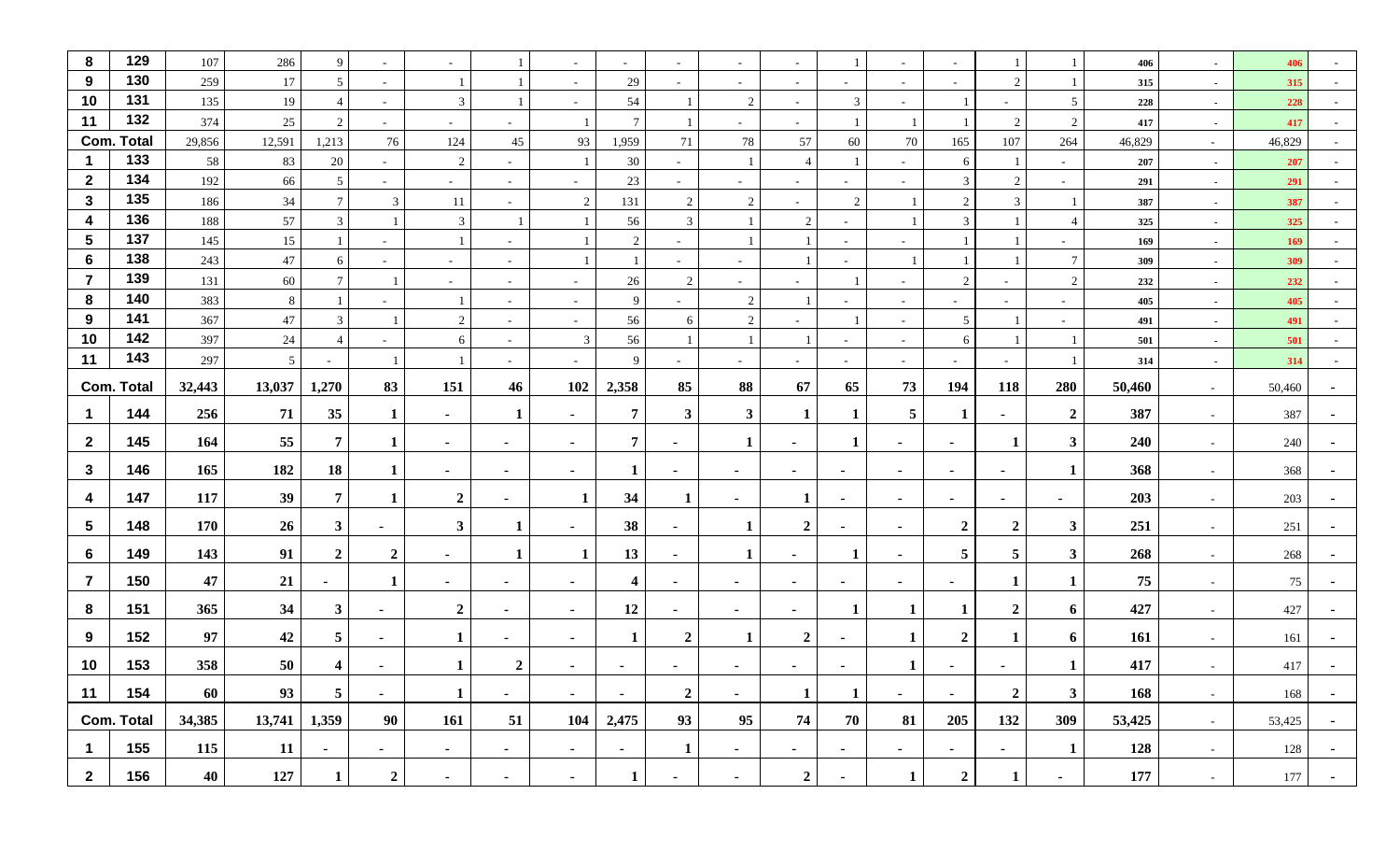| 8                | 129               | 107    | 286    | 9              | $\sim$                   | $\sim$         |                          | $\sim$                   | $\sim$          | $\sim$                   |                          | $\sim$           |                          | $\sim$          | $\sim$           |                |                          | 406    | $\sim$ | 406    |        |
|------------------|-------------------|--------|--------|----------------|--------------------------|----------------|--------------------------|--------------------------|-----------------|--------------------------|--------------------------|------------------|--------------------------|-----------------|------------------|----------------|--------------------------|--------|--------|--------|--------|
| 9                | 130               | 259    | 17     | 5              | $\sim$                   |                |                          | ÷,                       | 29              | ٠                        | $\overline{\phantom{a}}$ | $\sim$           |                          | $\sim$          | $\sim$           | 2              |                          | 315    | $\sim$ | 315    |        |
| 10               | 131               | 135    | 19     |                | $\sim$                   | 3              |                          | $\overline{\phantom{a}}$ | 54              |                          | 2                        | $\sim$           | $\overline{3}$           | $\sim$          |                  | $\sim$         | 5                        | 228    | $\sim$ | 228    |        |
| 11               | 132               | 374    | 25     | 2              | $\overline{\phantom{a}}$ | $\sim$         |                          |                          | $7\phantom{.0}$ |                          |                          | $\sim$           |                          |                 |                  | 2              | $\overline{2}$           | 417    | $\sim$ | 417    |        |
|                  | <b>Com. Total</b> | 29,856 | 12,591 | 1,213          | 76                       | 124            | 45                       | 93                       | 1,959           | 71                       | $78\,$                   | 57               | 60                       | 70              | 165              | 107            | 264                      | 46,829 | $\sim$ | 46,829 |        |
| -1               | 133               | 58     | 83     | 20             | $\sim$                   | 2              | $\sim$                   |                          | 30              | $\overline{\phantom{a}}$ |                          | $\overline{4}$   |                          | $\sim$          | 6                |                | $\sim$                   | 207    | $\sim$ | 207    |        |
| $\overline{2}$   | 134               | 192    | 66     | 5              | $\sim$                   | $\sim$         | $\sim$                   |                          | 23              | $\sim$                   | $\overline{\phantom{a}}$ | $\sim$           |                          | $\sim$          | 3                | 2              | $\overline{\phantom{a}}$ | 291    | $\sim$ | 291    |        |
| $\mathbf{3}$     | 135               | 186    | 34     |                | 3                        | 11             | $\sim$                   | 2                        | 131             | $\overline{2}$           | 2                        | $\sim$           | $\overline{c}$           |                 | $\overline{2}$   | 3              |                          | 387    | $\sim$ | 387    |        |
| $\boldsymbol{4}$ | 136               | 188    | 57     | $\mathbf{3}$   |                          | $\mathbf{3}$   |                          |                          | 56              | 3                        |                          | 2                |                          |                 | 3                |                | $\overline{4}$           | 325    | $\sim$ | 325    |        |
| $\sqrt{5}$       | 137               | 145    | $15\,$ |                | $\sim$                   |                |                          |                          | $\overline{2}$  | $\sim$                   |                          |                  |                          | $\sim$          |                  |                |                          | 169    | $\sim$ | 169    |        |
| 6                | 138               | 243    | 47     | 6              | $\overline{\phantom{a}}$ | $\sim$         | $\sim$                   |                          |                 | $\overline{\phantom{a}}$ | $\overline{\phantom{a}}$ |                  | $\overline{\phantom{0}}$ | 1               |                  |                | $\overline{7}$           | 309    | $\sim$ | 309    | $\sim$ |
| $\overline{7}$   | 139               | 131    | 60     |                |                          | $\sim$         |                          |                          | 26              | 2                        |                          | $\sim$           |                          | $\sim$          | 2                | $\sim$         | 2                        | 232    | $\sim$ | 232    |        |
| 8                | 140               | 383    | 8      |                | $\overline{\phantom{a}}$ |                | $\overline{\phantom{a}}$ | $\overline{\phantom{a}}$ | 9               | $\sim$                   | 2                        |                  |                          | $\sim$          | $\sim$           | $\sim$         | $\sim$                   | 405    | $\sim$ | 405    |        |
| 9<br>10          | 141<br>142        | 367    | $47\,$ | 3              |                          | 2              |                          |                          | 56              | 6                        | 2                        | $\sim$           |                          | $\sim$          | 5                |                |                          | 491    | $\sim$ | 491    |        |
| 11               | 143               | 397    | 24     | 4              | $\overline{\phantom{a}}$ | 6              | $\sim$                   | 3                        | 56<br>9         | $\mathbf{1}$             |                          |                  |                          | $\sim$          | 6                |                |                          | 501    | $\sim$ | 501    |        |
|                  |                   | 297    | 5      | $\sim$         |                          |                | $\sim$                   | $\overline{\phantom{a}}$ |                 | $\overline{\phantom{a}}$ | $\overline{\phantom{a}}$ | $\sim$           | $\sim$                   | $\sim$          | $\sim$           | $\sim$         |                          | 314    | $\sim$ | 314    |        |
|                  | <b>Com. Total</b> | 32,443 | 13,037 | 1,270          | 83                       | 151            | 46                       | 102                      | 2,358           | 85                       | 88                       | 67               | 65                       | 73              | 194              | 118            | 280                      | 50,460 | $\sim$ | 50,460 |        |
| $\mathbf{1}$     | 144               | 256    | 71     | 35             | 1                        | $\sim$         | 1                        | $\sim$                   | 7               | $\mathbf{3}$             | $\mathbf{3}$             | 1                |                          | $5\overline{)}$ |                  | $\sim$         | $\overline{2}$           | 387    | $\sim$ | 387    |        |
| $\mathbf{2}$     | 145               | 164    | 55     | 7              |                          | $\sim$         | $\blacksquare$           | ٠.                       | 7               | $\blacksquare$           | $\mathbf{1}$             | $\sim$           |                          | $\sim$          | ٠                | 1              | $\mathbf{3}$             | 240    | $\sim$ | 240    |        |
| $\mathbf{3}$     | 146               | 165    | 182    | 18             | 1                        | $\sim$         | $\blacksquare$           | $\sim$                   | 1               | $\blacksquare$           | $\blacksquare$           | $\sim$           | $\blacksquare$           | $\sim$          | $\blacksquare$   | $\sim$         | $\mathbf{1}$             | 368    | $\sim$ | 368    |        |
| 4                | 147               | 117    | 39     | $7^{\circ}$    |                          | $\overline{2}$ | $\blacksquare$           |                          | 34              |                          | $\blacksquare$           | 1                | $\blacksquare$           | $\sim$          | $\sim$           | $\sim$         | $\blacksquare$           | 203    | $\sim$ | 203    |        |
| $\sqrt{5}$       | 148               | 170    | 26     | $3^{\circ}$    |                          | $\mathbf{3}$   |                          |                          | 38              |                          | 1                        | $\boldsymbol{2}$ |                          |                 | $\overline{2}$   | $\mathbf{2}$   | $\mathbf{3}$             | 251    |        |        |        |
|                  |                   |        |        |                | $\blacksquare$           |                |                          |                          |                 |                          |                          |                  | ٠                        | $\sim$          |                  |                |                          |        | $\sim$ | 251    |        |
| 6                | 149               | 143    | 91     | $\mathbf{2}$   | $\overline{2}$           | $\sim$         | -1                       | 1                        | 13              | $\blacksquare$           | $\mathbf{1}$             | $\sim$           | -1                       | $\sim$          | $5\phantom{.0}$  | 5 <sup>5</sup> | $\mathbf{3}$             | 268    | $\sim$ | 268    |        |
| $\overline{7}$   | 150               | 47     | 21     | $\blacksquare$ | -1                       | $\sim$         | $\blacksquare$           | $\sim$                   | 4               | $\sim$                   | $\sim$                   | $\sim$           | $\blacksquare$           | $\sim$          | $\blacksquare$   | 1              | 1                        | 75     | $\sim$ | 75     |        |
| 8                | 151               | 365    | 34     | $3^{\circ}$    | $\sim$                   | $\overline{2}$ | $\blacksquare$           | $\sim$                   | 12              | ٠                        | $\sim$                   | $\sim$           |                          | 1               |                  | $\mathbf{2}$   | 6                        | 427    | $\sim$ | 427    |        |
| 9                | 152               | 97     | 42     | 5 <sup>5</sup> | $\blacksquare$           | 1              | $\blacksquare$           | $\blacksquare$           | $\mathbf{1}$    | $\overline{2}$           | -1                       | $\overline{2}$   |                          | 1               | $\overline{2}$   |                | 6                        | 161    | $\sim$ | 161    |        |
| 10               | 153               | 358    | 50     | 4              |                          | 1              | $\overline{2}$           |                          |                 |                          |                          |                  |                          | $\mathbf 1$     |                  |                |                          | 417    |        | 417    |        |
| 11               | 154               | 60     | 93     | 5 <sup>5</sup> | $\sim$                   | $\mathbf{1}$   | $\sim$                   | $\sim$                   | $\sim$          | $\overline{2}$           | $\sim$                   | $\mathbf{1}$     | $\mathbf{1}$             | $\sim$          | $\sim$           | $\overline{2}$ | $\mathbf{3}$             | 168    | $\sim$ | 168    | $\sim$ |
|                  | <b>Com. Total</b> | 34,385 | 13,741 | 1,359          | 90                       | 161            | 51                       | 104                      | 2,475           | 93                       | 95                       | 74               | 70                       | 81              | 205              | 132            | 309                      | 53,425 | $\sim$ | 53,425 | $\sim$ |
| $\mathbf{1}$     | 155               | 115    | 11     | $\sim$         | $\sim$                   | $\sim$         | $\blacksquare$           | $\sim$                   | $\sim$          | $\mathbf{1}$             | $\sim$                   | $\sim$           | ۰                        | $\blacksquare$  | $\blacksquare$   | $\sim$         | $\mathbf{1}$             | 128    | $\sim$ | 128    | $\sim$ |
| $\mathbf{2}$     | 156               | 40     | 127    | $\mathbf{1}$   | $\boldsymbol{2}$         | $\sim$         | $\blacksquare$           | $\sim$                   | $\mathbf{1}$    | $\sim$                   | $\sim$                   | $\mathbf{2}$     | $\blacksquare$           | $\mathbf{1}$    | $\boldsymbol{2}$ | 1              | $\sim$                   | 177    | $\sim$ | 177    | $\sim$ |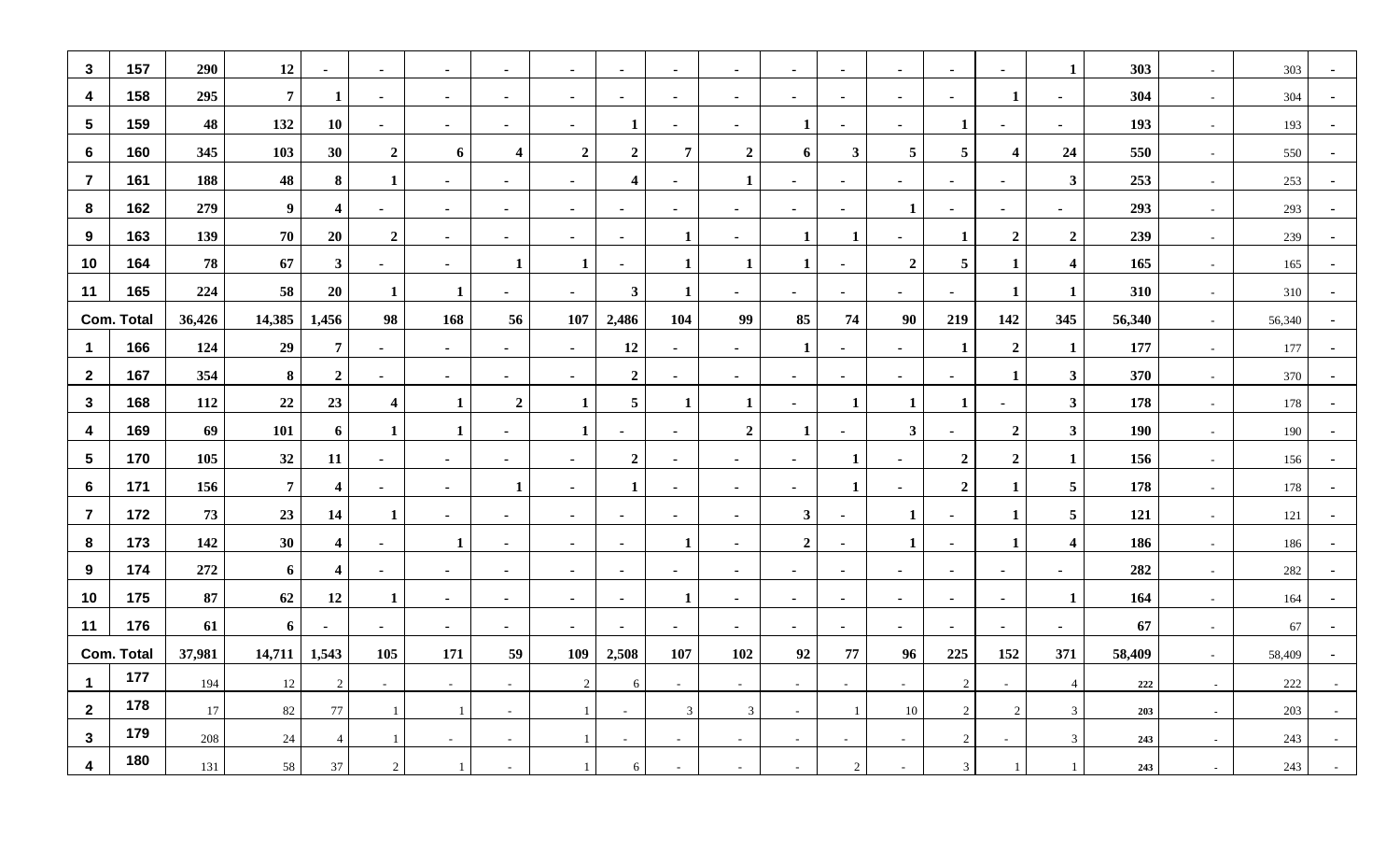| $\mathbf{3}$    | 157               | 290    | 12             | $\sim$                  | $\sim$                  | $\sim$         | $\sim$           | $\sim$         | $\sim$                  | $\sim$         | $\sim$           | $\sim$         | $\blacksquare$           | $\sim$                   | $\sim$           | $\sim$                  | 1                       | 303    | $\sim$ | 303     | $\overline{\phantom{a}}$ |
|-----------------|-------------------|--------|----------------|-------------------------|-------------------------|----------------|------------------|----------------|-------------------------|----------------|------------------|----------------|--------------------------|--------------------------|------------------|-------------------------|-------------------------|--------|--------|---------|--------------------------|
| 4               | 158               | 295    | $\overline{7}$ | 1                       | $\sim$                  | $\sim$         | ٠                | ٠              | $\sim$                  | $\sim$         | $\sim$           | $\sim$         | ۰                        | $\sim$                   | ٠                | 1                       | $\blacksquare$          | 304    | $\sim$ | 304     |                          |
| $5\phantom{.0}$ | 159               | 48     | 132            | <b>10</b>               | $\blacksquare$          | $\blacksquare$ | $\blacksquare$   | $\blacksquare$ | 1                       | $\blacksquare$ | $\sim$           | $\mathbf{1}$   | $\blacksquare$           | $\blacksquare$           | 1                | $\blacksquare$          | $\blacksquare$          | 193    | $\sim$ | 193     |                          |
| 6               | 160               | 345    | 103            | 30                      | $\boldsymbol{2}$        | 6              | 4                | $\overline{2}$ | $\overline{2}$          | 7              | $\boldsymbol{2}$ | 6              | $\mathbf{3}$             | 5                        | 5                | $\overline{\mathbf{4}}$ | 24                      | 550    | $\sim$ | 550     | $\sim$                   |
| $\overline{7}$  | 161               | 188    | 48             | 8                       | -1                      | $\sim$         | $\blacksquare$   | $\blacksquare$ | $\overline{\mathbf{4}}$ | $\sim$         | -1               | $\blacksquare$ | $\blacksquare$           | $\blacksquare$           |                  | $\blacksquare$          | $\mathbf{3}$            | 253    | $\sim$ | 253     |                          |
| 8               | 162               | 279    | 9              | 4                       | $\blacksquare$          | $\sim$         | $\blacksquare$   | $\blacksquare$ | $\blacksquare$          | $\blacksquare$ | $\sim$           | ٠              | $\blacksquare$           | 1                        |                  | $\blacksquare$          | $\blacksquare$          | 293    | $\sim$ | 293     |                          |
| 9               | 163               | 139    | 70             | 20                      | $\boldsymbol{2}$        | $\blacksquare$ | $\blacksquare$   | $\sim$         | $\sim$                  | -1             | $\sim$           | 1              | -1                       | $\sim$                   | 1                | $\overline{2}$          | $\overline{2}$          | 239    | $\sim$ | 239     | $\sim$                   |
| 10              | 164               | 78     | 67             | 3 <sup>1</sup>          | $\sim$                  | $\sim$         | 1                |                | $\sim$                  | 1              | 1                | 1              | $\blacksquare$           | $\boldsymbol{2}$         | $5\phantom{.0}$  | $\mathbf{1}$            | $\overline{\mathbf{4}}$ | 165    | $\sim$ | 165     |                          |
| 11              | 165               | 224    | 58             | 20                      | $\mathbf 1$             |                | $\blacksquare$   |                | $\mathbf{3}$            | 1              |                  | $\blacksquare$ | $\blacksquare$           | $\blacksquare$           |                  | 1                       | 1                       | 310    | $\sim$ | 310     |                          |
|                 | <b>Com. Total</b> | 36,426 | 14,385         | 1,456                   | 98                      | 168            | 56               | 107            | 2,486                   | 104            | 99               | 85             | 74                       | 90                       | 219              | 142                     | 345                     | 56,340 | $\sim$ | 56,340  | $\sim$                   |
| -1              | 166               | 124    | 29             | $\overline{7}$          | $\sim$                  | $\sim$         | ٠                | $\sim$         | 12                      | $\sim$         | $\sim$           | $\mathbf{1}$   | ٠                        | $\sim$                   | 1                | $\overline{2}$          | $\mathbf{1}$            | 177    | $\sim$ | 177     | $\sim$                   |
| $\mathbf{2}$    | 167               | 354    | 8              | $\overline{2}$          | $\sim$                  | $\blacksquare$ | $\sim$           | $\blacksquare$ | $\mathbf{2}$            | ٠              | $\sim$           | $\blacksquare$ | $\blacksquare$           | $\blacksquare$           |                  | 1                       | $\mathbf{3}$            | 370    | $\sim$ | 370     |                          |
| $\mathbf{3}$    | 168               | 112    | 22             | 23                      | $\overline{\mathbf{4}}$ | 1              | $\boldsymbol{2}$ |                | 5                       | -1             | $\mathbf{1}$     | $\sim$         | -1                       | 1                        | 1                | $\blacksquare$          | $\mathbf{3}$            | 178    | $\sim$ | 178     | $\blacksquare$           |
| 4               | 169               | 69     | 101            | 6                       | 1                       |                | $\sim$           |                | $\sim$                  | $\sim$         | $\boldsymbol{2}$ | $\mathbf{1}$   | $\blacksquare$           | $\mathbf{3}$             | $\blacksquare$   | $\overline{2}$          | $\mathbf{3}$            | 190    | $\sim$ | 190     | $\blacksquare$           |
| $\sqrt{5}$      | 170               | 105    | 32             | 11                      | $\blacksquare$          | $\blacksquare$ | $\blacksquare$   |                | $\boldsymbol{2}$        | ٠              | $\sim$           | $\blacksquare$ | -1                       | $\blacksquare$           | $\boldsymbol{2}$ | $\overline{2}$          | $\mathbf{1}$            | 156    | $\sim$ | 156     |                          |
| $6\phantom{1}6$ | 171               | 156    | $\overline{7}$ | $\overline{4}$          | $\sim$                  | $\sim$         | 1                | $\blacksquare$ | $\mathbf{1}$            | $\blacksquare$ | $\sim$           | $\sim$         | -1                       | $\blacksquare$           | $\overline{2}$   | 1                       | $\overline{\mathbf{5}}$ | 178    | $\sim$ | 178     | $\sim$                   |
| $\overline{7}$  | 172               | 73     | 23             | 14                      | 1                       | $\sim$         | $\sim$           | $\sim$         | $\sim$                  | $\sim$         | $\sim$           | $\mathbf{3}$   | $\blacksquare$           | 1                        | $\blacksquare$   | $\mathbf{1}$            | $5\overline{)}$         | 121    | $\sim$ | 121     | $\blacksquare$           |
| 8               | 173               | 142    | 30             | 4                       | $\sim$                  | $\mathbf 1$    | ٠                | $\blacksquare$ | $\sim$                  | 1              | $\sim$           | $\overline{2}$ | $\blacksquare$           | 1                        | $\blacksquare$   | 1                       | $\overline{\mathbf{4}}$ | 186    | $\sim$ | 186     |                          |
| 9               | 174               | 272    | 6              | $\overline{\mathbf{4}}$ | $\blacksquare$          | $\sim$         | $\blacksquare$   | $\sim$         | $\blacksquare$          | $\sim$         | $\sim$           | $\sim$         | $\blacksquare$           | $\sim$                   | $\blacksquare$   | $\blacksquare$          | $\blacksquare$          | 282    | $\sim$ | 282     | $\blacksquare$           |
| 10              | 175               | 87     | 62             | 12                      | 1                       | $\sim$         | $\blacksquare$   | $\sim$         | $\sim$                  | 1              | $\sim$           | $\blacksquare$ | $\overline{\phantom{a}}$ | $\sim$                   | $\blacksquare$   | $\sim$                  | 1                       | 164    | $\sim$ | 164     | $\blacksquare$           |
| 11              | 176               | 61     | 6              | $\blacksquare$          | ж.                      | $\sim$         | ٠                | ٠              | $\sim$                  | $\sim$         | ж.               | ж.             | ٠.                       | $\sim$                   | $\blacksquare$   | $\sim$                  | $\blacksquare$          | 67     | $\sim$ | 67      |                          |
|                 | <b>Com. Total</b> | 37,981 | 14,711         | 1,543                   | 105                     | 171            | 59               | 109            | 2,508                   | 107            | 102              | 92             | 77                       | 96                       | 225              | 152                     | 371                     | 58,409 | $\sim$ | 58,409  | $\blacksquare$           |
| -1              | 177               | 194    | 12             | $\overline{2}$          | $\sim$                  | $\sim$         | $\sim$           | 2              | 6                       | $\sim$         | $\sim$           | $\sim$         | $\sim$                   | $\overline{\phantom{a}}$ | $\overline{c}$   | $\sim$                  | $\overline{4}$          | 222    | $\sim$ | $222\,$ |                          |
| $\mathbf{2}$    | 178               | 17     | 82             | 77                      |                         |                | $\sim$           |                | $\sim$                  | 3              | $\mathbf{3}$     | $\sim$         | -1                       | 10                       | 2                | $\overline{2}$          | $\mathfrak{Z}$          | 203    | $\sim$ | 203     | $\sim$ $-$               |
| $\mathbf{3}$    | 179               | 208    | 24             | $\overline{4}$          |                         | $\sim$         | $\sim$           |                | $\sim$                  | $\sim$         | $\sim$           | $\sim$         | $\sim$                   | $\sim$                   | 2                | $\sim$                  | 3 <sup>7</sup>          | 243    | $\sim$ | 243     | $\sim$                   |
|                 |                   |        |                |                         |                         |                |                  |                |                         |                |                  |                |                          |                          |                  |                         |                         |        |        |         |                          |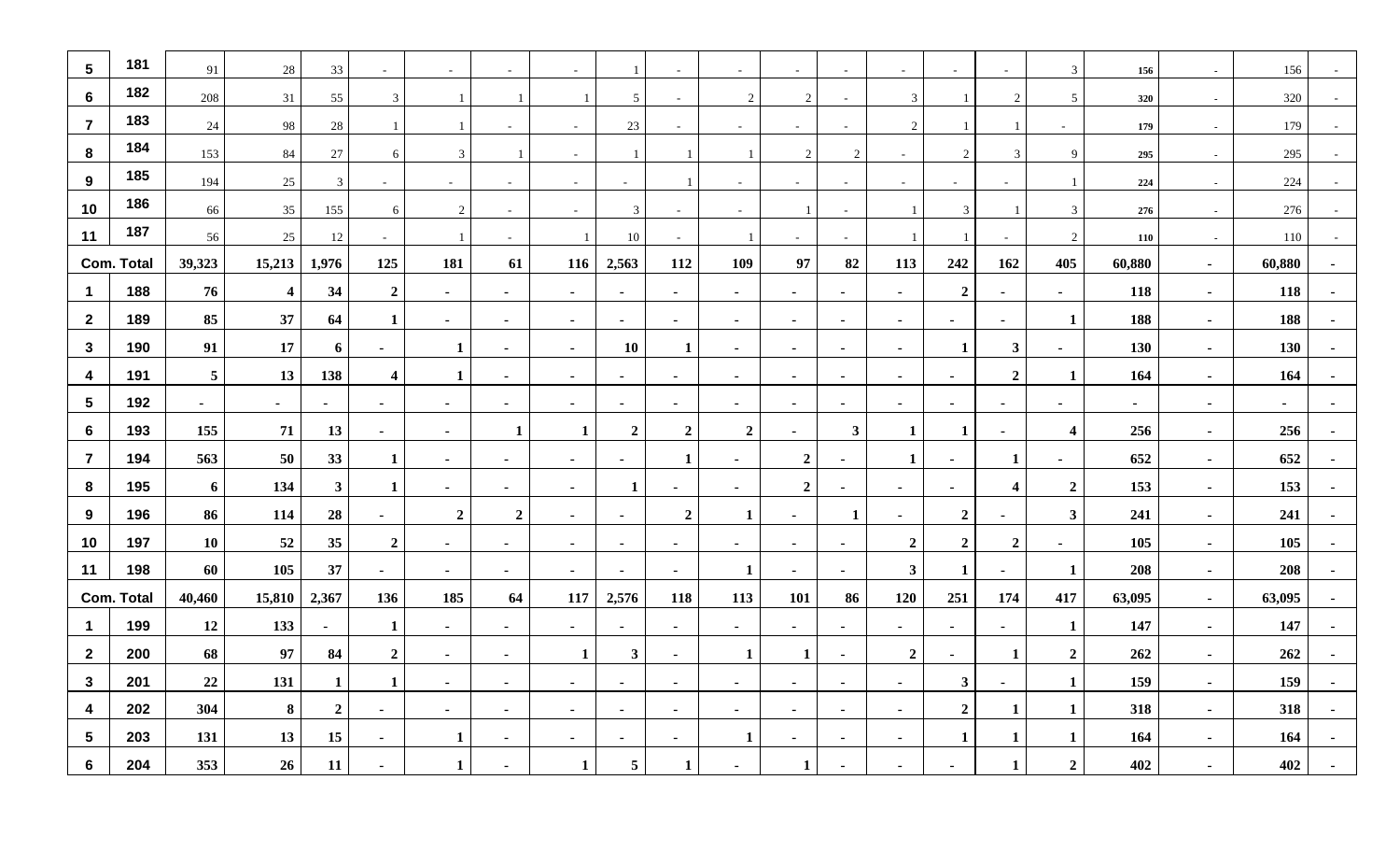| $5\phantom{.0}$         | 181               | 91              | $28\,$                  | 33             | $\sim$                  | $\sim$         | $\sim$                   |                |                  |                          |                | $\sim$           |                          | $\sim$         |                  | $\sim$                  | 3                       | 156     | $\sim$         | 156    |                |
|-------------------------|-------------------|-----------------|-------------------------|----------------|-------------------------|----------------|--------------------------|----------------|------------------|--------------------------|----------------|------------------|--------------------------|----------------|------------------|-------------------------|-------------------------|---------|----------------|--------|----------------|
| $6\phantom{1}$          | 182               | 208             | 31                      | 55             | 3                       |                |                          |                | 5                | $\overline{\phantom{a}}$ | 2              | 2                |                          | 3              |                  | 2                       | 5                       | 320     | $\sim$         | 320    |                |
| $\overline{7}$          | 183               | 24              | 98                      | 28             |                         |                |                          |                | 23               |                          |                |                  |                          | $\overline{2}$ |                  |                         |                         | 179     | $\sim$         | 179    |                |
| 8                       | 184               | 153             | 84                      | 27             | 6                       | $\mathbf{3}$   | $\overline{1}$           | $\sim$         |                  |                          | $\overline{1}$ | $\overline{2}$   | 2                        | $\sim$         | 2                | $\overline{3}$          | 9                       | 295     | $\sim$         | 295    |                |
| 9                       | 185               | 194             | 25                      | $\mathfrak{Z}$ | $\sim$                  | $\sim$         | $\sim$                   | $\sim$         | $\sim$           | -1                       | $\sim$         | $\sim$           | $\sim$                   | $\sim$         | $\sim$           | $\sim$                  | -1                      | 224     | $\sim$         | 224    | $\sim$         |
| 10                      | 186               | 66              | 35                      | 155            | 6                       | 2              | $\sim$                   | $\sim$         | 3                | $\sim$                   | $\sim$         | $\overline{1}$   | $\sim$                   | $\overline{1}$ | 3                |                         | $\overline{3}$          | $276\,$ | $\sim$         | 276    |                |
| 11                      | 187               | 56              | 25                      | 12             | $\blacksquare$          |                | $\sim$                   |                | 10               |                          |                | $\sim$           |                          |                |                  | $\sim$                  | 2                       | 110     | $\sim$         | 110    |                |
|                         | <b>Com. Total</b> | 39,323          | 15,213                  | 1,976          | 125                     | 181            | 61                       | 116            | 2,563            | 112                      | 109            | 97               | 82                       | 113            | 242              | 162                     | 405                     | 60,880  | $\sim$         | 60,880 |                |
| $\overline{1}$          | 188               | 76              | $\overline{\mathbf{4}}$ | 34             | $\boldsymbol{2}$        | $\sim$         | $\sim$                   | $\sim$         | $\sim$           | $\sim$                   | $\sim$         | $\sim$           | $\blacksquare$           | $\sim$         | $\overline{2}$   | $\sim$                  | $\sim$                  | 118     | $\sim$         | 118    |                |
| $\overline{2}$          | 189               | 85              | 37                      | 64             | 1                       | $\sim$         | $\overline{\phantom{a}}$ | $\sim$         | $\blacksquare$   | $\sim$                   | $\blacksquare$ | $\blacksquare$   |                          | $\sim$         | $\blacksquare$   | $\sim$                  | $\mathbf{1}$            | 188     | $\sim$         | 188    |                |
| $\mathbf{3}$            | 190               | 91              | 17                      | 6              | $\sim$                  | 1              | $\sim$                   | $\sim$         | <b>10</b>        | $\mathbf{1}$             | $\sim$         | $\sim$           | $\sim$                   | $\sim$         | $\mathbf{1}$     | $\mathbf{3}$            | $\sim$                  | 130     | $\sim$         | 130    |                |
| $\overline{\mathbf{4}}$ | 191               | $5\phantom{.0}$ | 13                      | 138            | $\overline{\mathbf{4}}$ | 1              | $\sim$                   | $\sim$         | $\sim$           | $\sim$                   | $\sim$         | $\sim$           | $\blacksquare$           | $\sim$         | $\sim$           | $\overline{2}$          | $\mathbf{1}$            | 164     | $\sim$         | 164    |                |
| $5\phantom{.0}$         | 192               | $\sim$          | $\sim$                  | $\sim$         | $\sim$                  | $\sim$         | $\blacksquare$           | $\sim$         | $\sim$           | $\sim$                   | $\sim$         | $\sim$           | $\sim$                   | $\sim$         | $\sim$           | $\sim$                  | $\blacksquare$          | $\sim$  | $\sim$         | $\sim$ | $\blacksquare$ |
| $6\phantom{1}$          | 193               | 155             | 71                      | 13             | $\sim$                  | $\sim$         | $\mathbf{1}$             | $\mathbf{1}$   | $\boldsymbol{2}$ | $\overline{2}$           | $\overline{2}$ | $\sim$           | $\mathbf{3}$             | 1              | 1                | $\sim$                  | $\overline{\mathbf{4}}$ | 256     | $\sim$         | 256    |                |
| $\overline{7}$          | 194               | 563             | 50                      | 33             | 1                       | $\sim$         | $\blacksquare$           | $\sim$         | $\blacksquare$   | 1                        | $\blacksquare$ | $\boldsymbol{2}$ |                          | 1              | $\blacksquare$   | 1                       | $\blacksquare$          | 652     | $\sim$         | 652    |                |
| 8                       | 195               | 6               | 134                     | $3^{\circ}$    | 1                       | $\sim$         | $\sim$                   | $\blacksquare$ | 1                | $\blacksquare$           | $\blacksquare$ | $\boldsymbol{2}$ | $\blacksquare$           | $\sim$         | $\blacksquare$   | $\overline{\mathbf{4}}$ | $\boldsymbol{2}$        | 153     | $\sim$         | 153    |                |
| 9                       | 196               | 86              | 114                     | 28             | $\sim$                  | $\overline{2}$ | $\overline{2}$           | $\sim$         | $\sim$           | $\boldsymbol{2}$         | -1             | $\sim$           | -1                       | $\sim$         | $\boldsymbol{2}$ | $\sim$                  | $\mathbf{3}$            | 241     | $\sim$         | 241    |                |
| 10                      | 197               | 10              | 52                      | 35             | $\boldsymbol{2}$        | $\sim$         | $\blacksquare$           | $\sim$         | $\sim$           | $\blacksquare$           | $\blacksquare$ | $\sim$           | $\blacksquare$           | $\overline{2}$ | $\overline{2}$   | $\overline{2}$          | $\blacksquare$          | 105     | $\sim$         | 105    |                |
| 11                      | 198               | 60              | 105                     | 37             | $\sim$                  | $\sim$         | $\blacksquare$           | $\sim$         | $\sim$           | $\sim$                   | $\mathbf{1}$   | $\sim$           | $\sim$                   | $\mathbf{3}$   | 1                | $\sim$                  | $\mathbf{1}$            | 208     | $\sim$         | 208    |                |
|                         | <b>Com. Total</b> | 40,460          | 15,810                  | 2,367          | 136                     | 185            | 64                       | 117            | 2,576            | 118                      | 113            | 101              | 86                       | 120            | 251              | 174                     | 417                     | 63,095  | $\sim$         | 63,095 |                |
| $\overline{1}$          | 199               | 12              | 133                     | $\sim$         | 1                       | $\sim$         | $\sim$                   | $\sim$         | $\sim$           | $\sim$                   | $\sim$         | $\sim$           | $\blacksquare$           | $\sim$         | $\sim$           | $\sim$                  | $\mathbf{1}$            | 147     | $\sim$         | 147    |                |
| $\overline{2}$          | 200               | 68              | 97                      | 84             | $\boldsymbol{2}$        | $\sim$         | $\blacksquare$           | 1              | $\mathbf{3}$     | $\blacksquare$           | $\mathbf{1}$   | 1                | $\blacksquare$           | $\overline{2}$ | $\blacksquare$   | 1                       | $\overline{2}$          | 262     | $\sim$         | 262    |                |
| $\mathbf{3}$            | 201               | 22              | 131                     | $\mathbf 1$    | 1                       | $\sim$         | $\sim$                   | $\sim$         | $\sim$           | $\sim$                   | $\sim$         | $\sim$           | $\blacksquare$           | $\sim$         | $\mathbf{3}$     | $\sim$                  | $\mathbf{1}$            | 159     | $\sim$         | 159    |                |
| 4                       | 202               | 304             | 8                       | $\overline{2}$ | $\sim$                  | $\sim$         | $\blacksquare$           | $\sim$         | $\sim$           | $\blacksquare$           | $\sim$         | $\sim$           | $\overline{\phantom{a}}$ | $\sim$         | $\overline{2}$   | 1                       | $\mathbf{1}$            | 318     | $\sim$         | 318    |                |
| $5\phantom{.0}$         | 203               | 131             | 13                      | 15             | $\sim$                  | 1              | $\blacksquare$           | $\sim$         | $\blacksquare$   |                          | $\mathbf{1}$   |                  |                          | $\blacksquare$ | 1                | 1                       | 1                       | 164     | $\sim$         | 164    |                |
| 6                       | 204               | 353             | 26                      | 11             | $\sim$                  | 1              | $\blacksquare$           | 1              | 5                | 1                        |                | $\mathbf{1}$     |                          | $\blacksquare$ |                  | 1                       | $\boldsymbol{2}$        | 402     | $\blacksquare$ | 402    |                |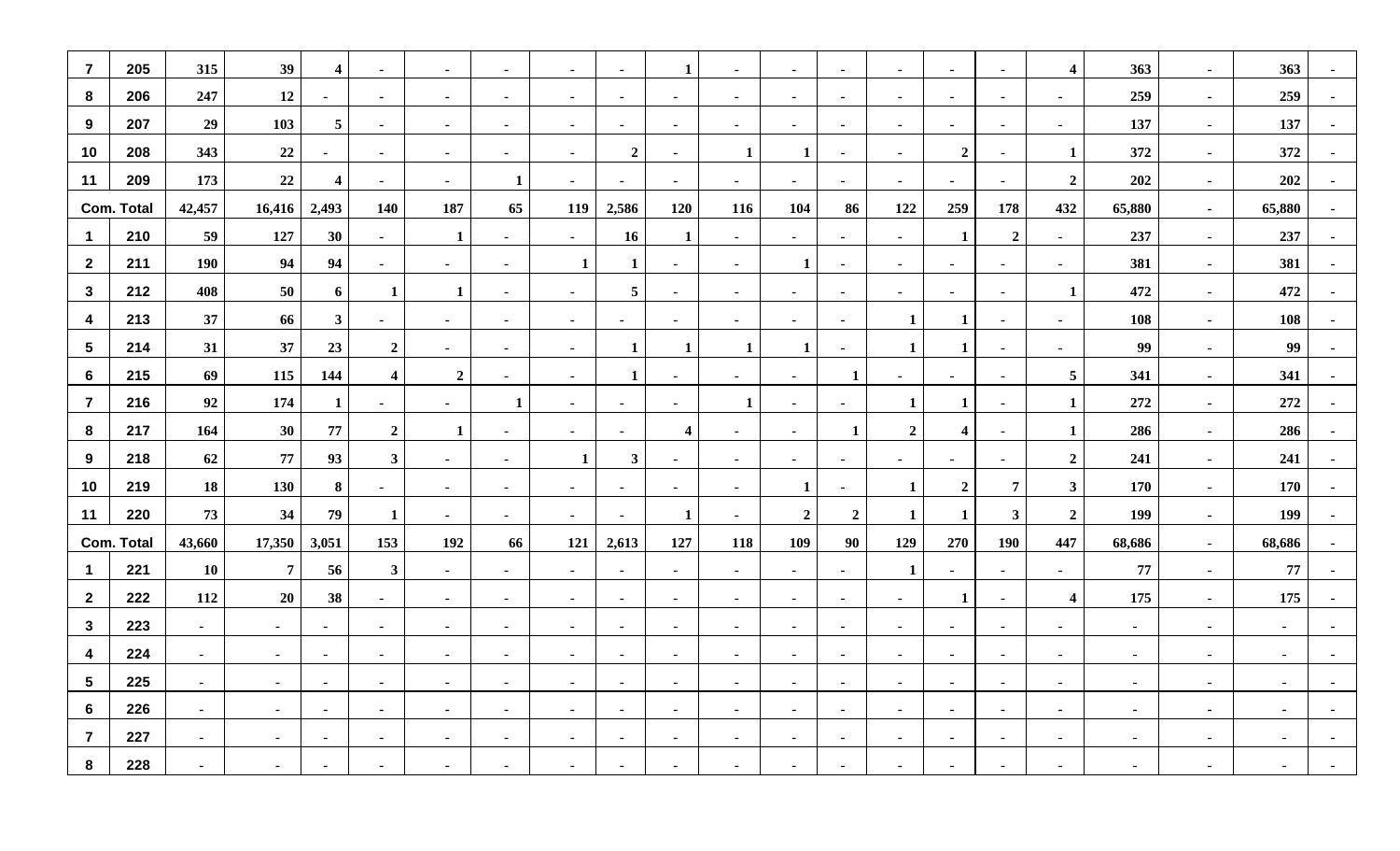| $\overline{7}$          | 205               | 315            | 39             | $\overline{\mathbf{4}}$ | $\sim$           | $\sim$           | $\sim$         | $\sim$         | $\sim$         | 1                | $\sim$         | $\sim$           | $\blacksquare$ | $\blacksquare$ | $\blacksquare$          | $\sim$         | $\overline{\mathbf{4}}$ | 363            | $\sim$          | 363    | $\blacksquare$           |
|-------------------------|-------------------|----------------|----------------|-------------------------|------------------|------------------|----------------|----------------|----------------|------------------|----------------|------------------|----------------|----------------|-------------------------|----------------|-------------------------|----------------|-----------------|--------|--------------------------|
| 8                       | 206               | 247            | 12             |                         | $\sim$           | $\sim$           | $\sim$         | $\sim$         | $\sim$         | $\sim$           | $\sim$         | $\sim$           | $\blacksquare$ | $\sim$         | $\sim$                  | $\sim$         | $\blacksquare$          | 259            | $\sim$          | 259    |                          |
| 9                       | 207               | 29             | 103            | $5\phantom{.0}$         | $\sim$           | $\sim$           | $\sim$         | $\sim$         | $\sim$         | $\blacksquare$   | $\sim$         | $\sim$           | $\blacksquare$ | $\sim$         | $\sim$                  | $\sim$         | $\blacksquare$          | 137            | $\sim$          | 137    |                          |
| 10                      | 208               | 343            | 22             | $\sim$                  | $\sim$           | $\sim$           | $\sim$         | $\blacksquare$ | $\overline{2}$ | $\sim$           | $\mathbf{1}$   | 1                | $\sim$         | $\sim$         | $\overline{2}$          | $\sim$         | $\mathbf{1}$            | 372            | $\sim$          | 372    | $\sim$                   |
| 11                      | 209               | 173            | 22             | $\overline{\mathbf{4}}$ | $\sim$           | $\sim$           | $\mathbf{1}$   | $\sim$         | $\sim$         | $\sim$           | $\sim$         | $\sim$           | $\sim$         | $\sim$         | $\sim$                  | $\sim$         | $\overline{2}$          | 202            | $\sim$          | 202    | $\blacksquare$           |
|                         | <b>Com. Total</b> | 42,457         | 16,416         | 2,493                   | 140              | 187              | 65             | 119            | 2,586          | 120              | 116            | 104              | 86             | 122            | 259                     | 178            | 432                     | 65,880         | $\sim$          | 65,880 |                          |
| $\mathbf{1}$            | 210               | 59             | 127            | 30                      | $\sim$           | $\mathbf{1}$     | $\blacksquare$ | $\sim$         | 16             | $\mathbf{1}$     | $\sim$         | $\sim$           | $\blacksquare$ | $\blacksquare$ | $\mathbf{1}$            | $\overline{2}$ | $\blacksquare$          | 237            | $\sim$          | 237    |                          |
| $\overline{2}$          | 211               | <b>190</b>     | 94             | 94                      | $\sim$           | $\sim$           | $\blacksquare$ | $\mathbf{1}$   | $\mathbf{1}$   | $\sim$           | $\sim$         | 1                | $\blacksquare$ | $\sim$         | $\blacksquare$          | $\blacksquare$ | $\blacksquare$          | 381            | $\sim$          | 381    |                          |
| $\mathbf{3}$            | 212               | 408            | 50             | 6                       | $\mathbf{1}$     | $\mathbf{1}$     | $\sim$         | $\sim$         | $\overline{5}$ | $\sim$           | $\sim$         | $\sim$           | $\sim$         | $\sim$         | $\sim$                  | $\sim$         | $\mathbf{1}$            | 472            | $\sim$          | 472    |                          |
| 4                       | 213               | 37             | 66             | 3 <sup>1</sup>          | $\sim$           | $\sim$           | $\blacksquare$ | $\sim$         | $\blacksquare$ | $\sim$           | $\sim$         | $\sim$           | $\blacksquare$ | $\mathbf{1}$   | $\mathbf{1}$            | $\blacksquare$ | $\blacksquare$          | 108            | $\sim$          | 108    |                          |
| $\sqrt{5}$              | 214               | 31             | 37             | 23                      | $\boldsymbol{2}$ | $\sim$           | $\sim$         | $\sim$         | $\mathbf{1}$   | $\mathbf{1}$     | $\mathbf{1}$   | 1                | $\blacksquare$ | $\mathbf{1}$   | -1                      | $\sim$         | $\sim$                  | 99             | $\sim$          | 99     |                          |
| $6\phantom{1}6$         | 215               | 69             | 115            | 144                     | $\boldsymbol{4}$ | $\boldsymbol{2}$ | $\sim$         | $\sim$         | $\mathbf{1}$   | $\sim$           | $\sim$         | $\sim$           | $\mathbf{1}$   | $\sim$         | $\sim$                  | $\sim$         | $\overline{5}$          | 341            | $\sim$          | 341    | $\sim$                   |
| $\overline{7}$          | 216               | 92             | 174            | $\mathbf{1}$            | $\sim$           | $\sim$           | $\mathbf{1}$   | $\sim$         | $\sim$         | $\sim$           | $\mathbf{1}$   | $\sim$           | $\sim$         | $\mathbf{1}$   | $\mathbf{1}$            | $\sim$         | $\mathbf{1}$            | 272            | $\sim$          | 272    | $\blacksquare$           |
| 8                       | 217               | 164            | 30             | 77                      | $\boldsymbol{2}$ | $\mathbf{1}$     | $\blacksquare$ | $\sim$         | $\sim$         | $\boldsymbol{4}$ | $\sim$         | $\sim$           | 1              | $\overline{2}$ | $\overline{\mathbf{4}}$ | $\sim$         | $\mathbf{1}$            | 286            | $\sim$          | 286    |                          |
| 9                       | 218               | 62             | 77             | 93                      | $\mathbf{3}$     | $\sim$           | $\sim$         | $\mathbf{1}$   | $\mathbf{3}$   | $\sim$           | $\sim$         | $\sim$           | $\sim$         | $\blacksquare$ | $\blacksquare$          | $\sim$         | $\overline{2}$          | 241            | $\sim$          | 241    |                          |
| 10                      | 219               | 18             | 130            | 8                       | $\sim$           | $\sim$           | $\sim$         | $\sim$         | $\sim$         | $\sim$           | $\sim$         | 1                | $\blacksquare$ | 1              | $\overline{2}$          | $\overline{7}$ | $\mathbf{3}$            | 170            | $\sim$          | 170    |                          |
| 11                      | 220               | 73             | 34             | 79                      | 1                | $\sim$           | $\sim$         | $\sim$         | $\sim$         | 1                | $\sim$         | $\boldsymbol{2}$ | $\overline{2}$ | $\mathbf{1}$   | 1                       | $\mathbf{3}$   | $\overline{2}$          | 199            | $\sim$          | 199    | $\blacksquare$           |
|                         | <b>Com. Total</b> | 43,660         | 17,350         | 3,051                   | 153              | 192              | 66             | 121            | 2,613          | 127              | 118            | 109              | 90             | 129            | 270                     | <b>190</b>     | 447                     | 68,686         | $\sim$ 10 $\pm$ | 68,686 |                          |
| $\overline{\mathbf{1}}$ | 221               | 10             | $\overline{7}$ | 56                      | $\mathbf{3}$     | $\sim$           | $\sim$         | $\sim$         | $\sim$         | $\sim$           | $\sim$         | $\sim$           | $\sim$         | 1              | $\sim$                  | $\sim$         | $\blacksquare$          | 77             | $\sim$          | 77     |                          |
| $\mathbf{2}$            | 222               | 112            | 20             | 38                      | $\sim$           | $\sim$           | $\sim$         | $\sim$         | $\sim$         | $\sim$           | $\sim$         | $\sim$           | $\sim$         | $\sim$         | 1                       | $\sim$         | $\overline{\mathbf{4}}$ | 175            | $\sim$          | 175    | $\overline{\phantom{a}}$ |
| $\mathbf{3}$            | 223               | $\sim$         | $\sim$         | $\blacksquare$          | $\sim$           | $\sim$           | $\sim$         | $\sim$         | $\sim$         | $\sim$           | $\sim$         | $\sim$           | $\sim$         | $\sim$         | $\sim$                  | $\sim$         | $\sim$                  | $\sim$         | $\sim$          | $\sim$ |                          |
| $\boldsymbol{4}$        | 224               | $\sim$         | $\sim$         | $\sim$                  | $\sim$           | $\sim$           | $\blacksquare$ | $\sim$         | $\sim$         | $\sim$           | $\sim$         | $\sim$           | $\sim$         | $\blacksquare$ | $\blacksquare$          | $\sim$         | $\blacksquare$          | $\sim$         | $\sim$          | $\sim$ |                          |
| $5\phantom{1}$          | 225               | $\sim$         | $\sim$         | $\blacksquare$          | $\sim$           | $\sim$           | $\blacksquare$ | $\blacksquare$ | $\sim$         | $\sim$           | $\sim$         | $\sim$           | $\blacksquare$ | $\blacksquare$ | $\blacksquare$          | $\sim$         | $\blacksquare$          | $\sim$         | $\sim$          | $\sim$ |                          |
| 6                       | 226               | $\sim$         | $\sim$         | $\sim$                  | $\sim$           | $\sim$           | $\sim$         | $\sim$         | $\sim$         | $\sim$           | $\blacksquare$ | $\sim$           | $\blacksquare$ | $\sim$         | $\sim$                  | $\sim$         | $\sim$                  | $\sim$         | $\sim$          | $\sim$ |                          |
| $\overline{7}$          | 227               | $\blacksquare$ | $\sim$         | $\blacksquare$          | $\sim$           | $\sim$           | $\blacksquare$ | $\sim$         | $\sim$         | $\sim$           |                | $\sim$           | $\blacksquare$ | $\blacksquare$ | $\sim$                  | $\sim$         | $\blacksquare$          | $\sim$         | $\sim$          | $\sim$ |                          |
| 8                       | 228               | $\blacksquare$ | $\sim$         |                         | $\sim$           | $\sim$           |                | $\sim$         | $\blacksquare$ | $\blacksquare$   |                | $\blacksquare$   |                | $\blacksquare$ |                         | $\blacksquare$ | $\blacksquare$          | $\blacksquare$ | $\sim$          | $\sim$ |                          |